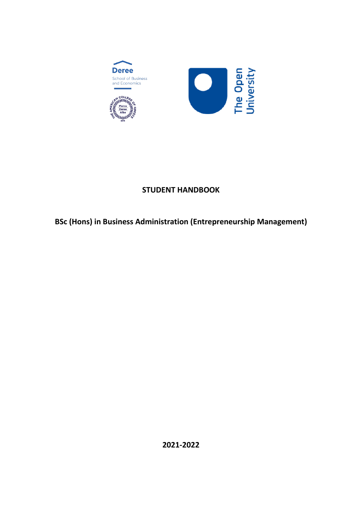<span id="page-0-0"></span>

# **STUDENT HANDBOOK**

# **BSc (Hons) in Business Administration (Entrepreneurship Management)**

**2021-2022**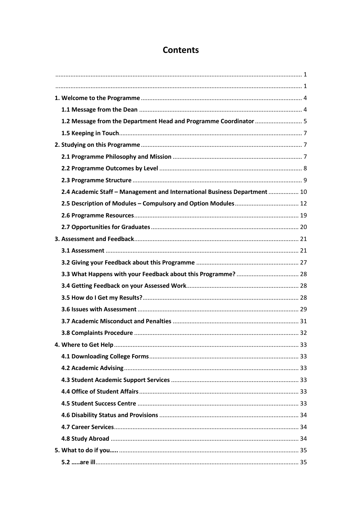# **Contents**

| 1.2 Message from the Department Head and Programme Coordinator  5         |  |
|---------------------------------------------------------------------------|--|
|                                                                           |  |
|                                                                           |  |
|                                                                           |  |
|                                                                           |  |
|                                                                           |  |
| 2.4 Academic Staff - Management and International Business Department  10 |  |
|                                                                           |  |
|                                                                           |  |
|                                                                           |  |
|                                                                           |  |
|                                                                           |  |
|                                                                           |  |
|                                                                           |  |
|                                                                           |  |
|                                                                           |  |
|                                                                           |  |
|                                                                           |  |
|                                                                           |  |
|                                                                           |  |
|                                                                           |  |
|                                                                           |  |
|                                                                           |  |
|                                                                           |  |
|                                                                           |  |
|                                                                           |  |
|                                                                           |  |
|                                                                           |  |
|                                                                           |  |
|                                                                           |  |
|                                                                           |  |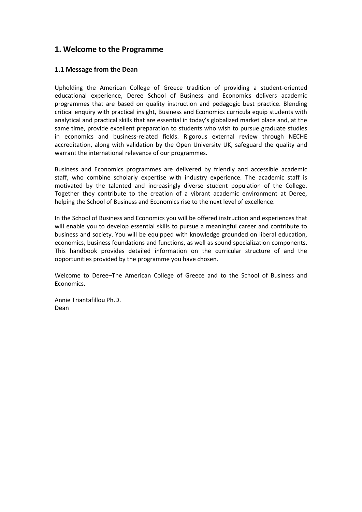# <span id="page-3-0"></span>**1. Welcome to the Programme**

# <span id="page-3-1"></span>**1.1 Message from the Dean**

Upholding the American College of Greece tradition of providing a student-oriented educational experience, Deree School of Business and Economics delivers academic programmes that are based on quality instruction and pedagogic best practice. Blending critical enquiry with practical insight, Business and Economics curricula equip students with analytical and practical skills that are essential in today's globalized market place and, at the same time, provide excellent preparation to students who wish to pursue graduate studies in economics and business-related fields. Rigorous external review through NECHE accreditation, along with validation by the Open University UK, safeguard the quality and warrant the international relevance of our programmes.

Business and Economics programmes are delivered by friendly and accessible academic staff, who combine scholarly expertise with industry experience. The academic staff is motivated by the talented and increasingly diverse student population of the College. Together they contribute to the creation of a vibrant academic environment at Deree, helping the School of Business and Economics rise to the next level of excellence.

In the School of Business and Economics you will be offered instruction and experiences that will enable you to develop essential skills to pursue a meaningful career and contribute to business and society. You will be equipped with knowledge grounded on liberal education, economics, business foundations and functions, as well as sound specialization components. This handbook provides detailed information on the curricular structure of and the opportunities provided by the programme you have chosen.

Welcome to Deree–The American College of Greece and to the School of Business and Economics.

Annie Triantafillou Ph.D. Dean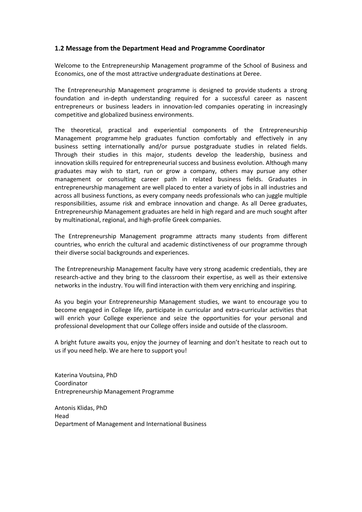# <span id="page-4-0"></span>**1.2 Message from the Department Head and Programme Coordinator**

Welcome to the Entrepreneurship Management programme of the School of Business and Economics, one of the most attractive undergraduate destinations at Deree.

The Entrepreneurship Management programme is designed to provide students a strong foundation and in-depth understanding required for a successful career as nascent entrepreneurs or business leaders in innovation-led companies operating in increasingly competitive and globalized business environments.

The theoretical, practical and experiential components of the Entrepreneurship Management programme help graduates function comfortably and effectively in any business setting internationally and/or pursue postgraduate studies in related fields. Through their studies in this major, students develop the leadership, business and innovation skills required for entrepreneurial success and business evolution. Although many graduates may wish to start, run or grow a company, others may pursue any other management or consulting career path in related business fields. Graduates in entrepreneurship management are well placed to enter a variety of jobs in all industries and across all business functions, as every company needs professionals who can juggle multiple responsibilities, assume risk and embrace innovation and change. As all Deree graduates, Entrepreneurship Management graduates are held in high regard and are much sought after by multinational, regional, and high-profile Greek companies.

The Entrepreneurship Management programme attracts many students from different countries, who enrich the cultural and academic distinctiveness of our programme through their diverse social backgrounds and experiences.

The Entrepreneurship Management faculty have very strong academic credentials, they are research-active and they bring to the classroom their expertise, as well as their extensive networks in the industry. You will find interaction with them very enriching and inspiring.

As you begin your Entrepreneurship Management studies, we want to encourage you to become engaged in College life, participate in curricular and extra-curricular activities that will enrich your College experience and seize the opportunities for your personal and professional development that our College offers inside and outside of the classroom.

A bright future awaits you, enjoy the journey of learning and don't hesitate to reach out to us if you need help. We are here to support you!

Katerina Voutsina, PhD Coordinator Entrepreneurship Management Programme

Antonis Klidas, PhD Head Department of Management and International Business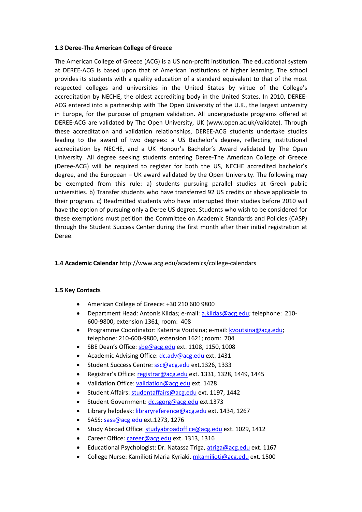#### **1.3 Deree-The American College of Greece**

The American College of Greece (ACG) is a US non-profit institution. The educational system at DEREE-ACG is based upon that of American institutions of higher learning. The school provides its students with a quality education of a standard equivalent to that of the most respected colleges and universities in the United States by virtue of the College's accreditation by NECHE, the oldest accrediting body in the United States. In 2010, DEREE-ACG entered into a partnership with The Open University of the U.K., the largest university in Europe, for the purpose of program validation. All undergraduate programs offered at DEREE-ACG are validated by The Open University, UK (www.open.ac.uk/validate). Through these accreditation and validation relationships, DEREE-ACG students undertake studies leading to the award of two degrees: a US Bachelor's degree, reflecting institutional accreditation by NECHE, and a UK Honour's Bachelor's Award validated by The Open University. All degree seeking students entering Deree-The American College of Greece (Deree-ACG) will be required to register for both the US, NECHE accredited bachelor's degree, and the European – UK award validated by the Open University. The following may be exempted from this rule: a) students pursuing parallel studies at Greek public universities. b) Transfer students who have transferred 92 US credits or above applicable to their program. c) Readmitted students who have interrupted their studies before 2010 will have the option of pursuing only a Deree US degree. Students who wish to be considered for these exemptions must petition the Committee on Academic Standards and Policies (CASP) through the Student Success Center during the first month after their initial registration at Deree.

## **1.4 Academic Calendar** http://www.acg.edu/academics/college-calendars

## **1.5 Key Contacts**

- American College of Greece: +30 210 600 9800
- Department Head: Antonis Klidas; e-mail[: a.klidas@acg.edu;](mailto:a.klidas@acg.edu) telephone: 210- 600-9800, extension 1361; room: 408
- Programme Coordinator: Katerina Voutsina; e-mail: [kvoutsina@acg.edu;](mailto:kvoutsina@acg.edu) telephone: 210-600-9800, extension 1621; room: 704
- SBE Dean's Office: sbe@acg.edu ext. 1108, 1150, 1008
- Academic Advising Office: dc.adv@acg.edu ext. 1431
- Student Success Centre: ssc@acg.edu ext.1326, 1333
- Registrar's Office: registrar@acg.edu ext. 1331, 1328, 1449, 1445
- Validation Office: validation@acg.edu ext. 1428
- Student Affairs: studentaffairs@acg.edu ext. 1197, 1442
- Student Government: dc.sgorg@acg.edu ext.1373
- Library helpdesk: libraryreference@acg.edu ext. 1434, 1267
- SASS: sass@acg.edu ext.1273, 1276
- Study Abroad Office: studyabroadoffice@acg.edu ext. 1029, 1412
- Career Office: career@acg.edu ext. 1313, 1316
- Educational Psychologist: Dr. Natassa Triga, atriga@acg.edu ext. 1167
- College Nurse: Kamilioti Maria Kyriaki, mkamilioti@acg.edu ext. 1500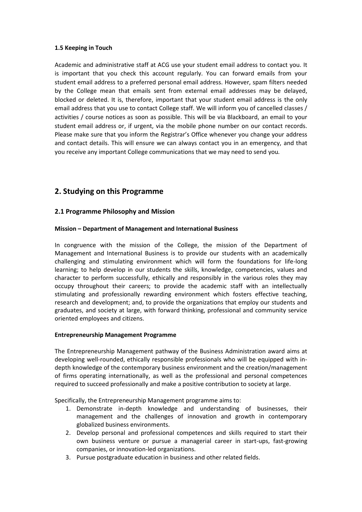## <span id="page-6-0"></span>**1.5 Keeping in Touch**

Academic and administrative staff at ACG use your student email address to contact you. It is important that you check this account regularly. You can forward emails from your student email address to a preferred personal email address. However, spam filters needed by the College mean that emails sent from external email addresses may be delayed, blocked or deleted. It is, therefore, important that your student email address is the only email address that you use to contact College staff. We will inform you of cancelled classes / activities / course notices as soon as possible. This will be via Blackboard, an email to your student email address or, if urgent, via the mobile phone number on our contact records. Please make sure that you inform the Registrar's Office whenever you change your address and contact details. This will ensure we can always contact you in an emergency, and that you receive any important College communications that we may need to send you*.*

# <span id="page-6-1"></span>**2. Studying on this Programme**

# <span id="page-6-2"></span>**2.1 Programme Philosophy and Mission**

## **Mission – Department of Management and International Business**

In congruence with the mission of the College, the mission of the Department of Management and International Business is to provide our students with an academically challenging and stimulating environment which will form the foundations for life-long learning; to help develop in our students the skills, knowledge, competencies, values and character to perform successfully, ethically and responsibly in the various roles they may occupy throughout their careers; to provide the academic staff with an intellectually stimulating and professionally rewarding environment which fosters effective teaching, research and development; and, to provide the organizations that employ our students and graduates, and society at large, with forward thinking, professional and community service oriented employees and citizens.

#### **Entrepreneurship Management Programme**

The Entrepreneurship Management pathway of the Business Administration award aims at developing well-rounded, ethically responsible professionals who will be equipped with indepth knowledge of the contemporary business environment and the creation/management of firms operating internationally, as well as the professional and personal competences required to succeed professionally and make a positive contribution to society at large.

Specifically, the Entrepreneurship Management programme aims to:

- 1. Demonstrate in-depth knowledge and understanding of businesses, their management and the challenges of innovation and growth in contemporary globalized business environments.
- 2. Develop personal and professional competences and skills required to start their own business venture or pursue a managerial career in start-ups, fast-growing companies, or innovation-led organizations.
- 3. Pursue postgraduate education in business and other related fields.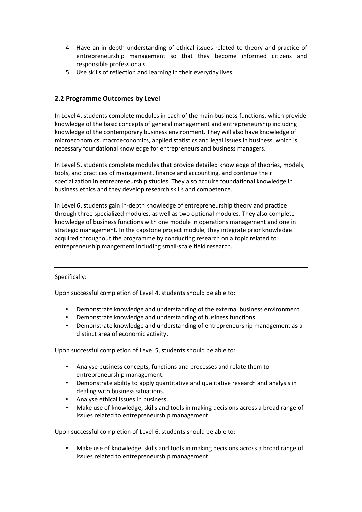- 4. Have an in-depth understanding of ethical issues related to theory and practice of entrepreneurship management so that they become informed citizens and responsible professionals.
- 5. Use skills of reflection and learning in their everyday lives.

# <span id="page-7-0"></span>**2.2 Programme Outcomes by Level**

In Level 4, students complete modules in each of the main business functions, which provide knowledge of the basic concepts of general management and entrepreneurship including knowledge of the contemporary business environment. They will also have knowledge of microeconomics, macroeconomics, applied statistics and legal issues in business, which is necessary foundational knowledge for entrepreneurs and business managers.

In Level 5, students complete modules that provide detailed knowledge of theories, models, tools, and practices of management, finance and accounting, and continue their specialization in entrepreneurship studies. They also acquire foundational knowledge in business ethics and they develop research skills and competence.

In Level 6, students gain in-depth knowledge of entrepreneurship theory and practice through three specialized modules, as well as two optional modules. They also complete knowledge of business functions with one module in operations management and one in strategic management. In the capstone project module, they integrate prior knowledge acquired throughout the programme by conducting research on a topic related to entrepreneuship mangement including small-scale field research.

## Specifically:

Upon successful completion of Level 4, students should be able to:

- Demonstrate knowledge and understanding of the external business environment.
- Demonstrate knowledge and understanding of business functions.
- Demonstrate knowledge and understanding of entrepreneurship management as a distinct area of economic activity.

Upon successful completion of Level 5, students should be able to:

- Analyse business concepts, functions and processes and relate them to entrepreneurship management.
- Demonstrate ability to apply quantitative and qualitative research and analysis in dealing with business situations.
- Analyse ethical issues in business.
- Make use of knowledge, skills and tools in making decisions across a broad range of issues related to entrepreneurship management.

Upon successful completion of Level 6, students should be able to:

• Make use of knowledge, skills and tools in making decisions across a broad range of issues related to entrepreneurship management.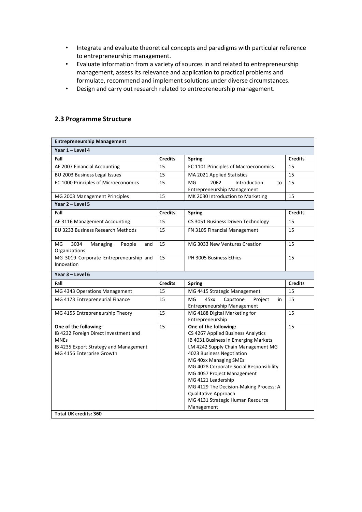- Integrate and evaluate theoretical concepts and paradigms with particular reference to entrepreneurship management.
- Evaluate information from a variety of sources in and related to entrepreneurship management, assess its relevance and application to practical problems and formulate, recommend and implement solutions under diverse circumstances.
- Design and carry out research related to entrepreneurship management.

# <span id="page-8-0"></span>**2.3 Programme Structure**

| <b>Entrepreneurship Management</b>                       |                |                                                                               |                |  |  |  |  |  |  |
|----------------------------------------------------------|----------------|-------------------------------------------------------------------------------|----------------|--|--|--|--|--|--|
| Year 1 - Level 4                                         |                |                                                                               |                |  |  |  |  |  |  |
| Fall                                                     | <b>Credits</b> | <b>Spring</b>                                                                 | <b>Credits</b> |  |  |  |  |  |  |
| AF 2007 Financial Accounting                             | 15             | EC 1101 Principles of Macroeconomics                                          | 15             |  |  |  |  |  |  |
| BU 2003 Business Legal Issues                            | 15             | MA 2021 Applied Statistics                                                    | 15             |  |  |  |  |  |  |
| EC 1000 Principles of Microeconomics                     | 15             | 2062<br>MG<br>Introduction<br>to                                              | 15             |  |  |  |  |  |  |
|                                                          |                | Entrepreneurship Management                                                   |                |  |  |  |  |  |  |
| MG 2003 Management Principles                            | 15             | MK 2030 Introduction to Marketing                                             | 15             |  |  |  |  |  |  |
| Year 2 - Level 5                                         |                |                                                                               |                |  |  |  |  |  |  |
| Fall                                                     | <b>Credits</b> | <b>Spring</b>                                                                 | <b>Credits</b> |  |  |  |  |  |  |
| AF 3116 Management Accounting                            | 15             | CS 3051 Business Driven Technology                                            | 15             |  |  |  |  |  |  |
| <b>BU 3233 Business Research Methods</b>                 | 15             | FN 3105 Financial Management                                                  | 15             |  |  |  |  |  |  |
| MG<br>3034<br>Managing<br>People<br>and<br>Organizations | 15             | MG 3033 New Ventures Creation                                                 | 15             |  |  |  |  |  |  |
| MG 3019 Corporate Entrepreneurship and<br>Innovation     | 15             | PH 3005 Business Ethics                                                       | 15             |  |  |  |  |  |  |
| Year 3 - Level 6                                         |                |                                                                               |                |  |  |  |  |  |  |
| Fall                                                     | <b>Credits</b> | <b>Spring</b>                                                                 | <b>Credits</b> |  |  |  |  |  |  |
| MG 4343 Operations Management                            | 15             | MG 4415 Strategic Management                                                  | 15             |  |  |  |  |  |  |
| MG 4173 Entrepreneurial Finance                          | 15             | 45xx<br>Capstone<br>MG<br>Project<br>in<br><b>Entrepreneurship Management</b> | 15             |  |  |  |  |  |  |
| MG 4155 Entrepreneurship Theory                          | 15             | MG 4188 Digital Marketing for<br>Entrepreneurship                             | 15             |  |  |  |  |  |  |
| One of the following:                                    |                |                                                                               |                |  |  |  |  |  |  |
|                                                          | 15             | One of the following:                                                         | 15             |  |  |  |  |  |  |
| IB 4232 Foreign Direct Investment and                    |                | CS 4267 Applied Business Analytics                                            |                |  |  |  |  |  |  |
| <b>MNEs</b>                                              |                | IB 4031 Business in Emerging Markets                                          |                |  |  |  |  |  |  |
| IB 4235 Export Strategy and Management                   |                | LM 4242 Supply Chain Management MG                                            |                |  |  |  |  |  |  |
| MG 4156 Enterprise Growth                                |                | 4023 Business Negotiation                                                     |                |  |  |  |  |  |  |
|                                                          |                | MG 40xx Managing SMEs                                                         |                |  |  |  |  |  |  |
|                                                          |                | MG 4028 Corporate Social Responsibility                                       |                |  |  |  |  |  |  |
|                                                          |                | MG 4057 Project Management<br>MG 4121 Leadership                              |                |  |  |  |  |  |  |
|                                                          |                | MG 4129 The Decision-Making Process: A                                        |                |  |  |  |  |  |  |
|                                                          |                | Qualitative Approach                                                          |                |  |  |  |  |  |  |
|                                                          |                | MG 4131 Strategic Human Resource                                              |                |  |  |  |  |  |  |
| <b>Total UK credits: 360</b>                             |                | Management                                                                    |                |  |  |  |  |  |  |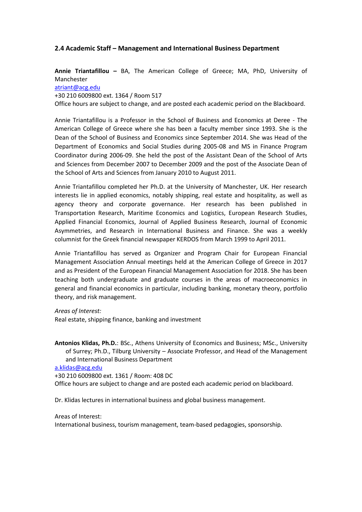# <span id="page-9-0"></span>**2.4 Academic Staff – Management and International Business Department**

**Annie Triantafillou –** BA, The American College of Greece; MA, PhD, University of Manchester

#### [atriant@acg.edu](mailto:atriant@acg.edu)

+30 210 6009800 ext. 1364 / Room 517

Office hours are subject to change, and are posted each academic period on the Blackboard.

Annie Triantafillou is a Professor in the School of Business and Economics at Deree - The American College of Greece where she has been a faculty member since 1993. She is the Dean of the School of Business and Economics since September 2014. She was Head of the Department of Economics and Social Studies during 2005-08 and MS in Finance Program Coordinator during 2006-09. She held the post of the Assistant Dean of the School of Arts and Sciences from December 2007 to December 2009 and the post of the Associate Dean of the School of Arts and Sciences from January 2010 to August 2011.

Annie Triantafillou completed her Ph.D. at the University of Manchester, UK. Her research interests lie in applied economics, notably shipping, real estate and hospitality, as well as agency theory and corporate governance. Her research has been published in Transportation Research, Maritime Economics and Logistics, European Research Studies, Applied Financial Economics, Journal of Applied Business Research, Journal of Economic Asymmetries, and Research in International Business and Finance. She was a weekly columnist for the Greek financial newspaper KERDOS from March 1999 to April 2011.

Annie Triantafillou has served as Organizer and Program Chair for European Financial Management Association Annual meetings held at the American College of Greece in 2017 and as President of the European Financial Management Association for 2018. She has been teaching both undergraduate and graduate courses in the areas of macroeconomics in general and financial economics in particular, including banking, monetary theory, portfolio theory, and risk management.

*Areas of Interest:*

Real estate, shipping finance, banking and investment

**Antonios Klidas, Ph.D.**: BSc., Athens University of Economics and Business; MSc., University of Surrey; Ph.D., Tilburg University – Associate Professor, and Head of the Management and International Business Department

[a.klidas@acg.edu](mailto:a.klidas@acg.edu)

+30 210 6009800 ext. 1361 / Room: 408 DC Office hours are subject to change and are posted each academic period on blackboard.

Dr. Klidas lectures in international business and global business management.

#### Areas of Interest:

International business, tourism management, team-based pedagogies, sponsorship.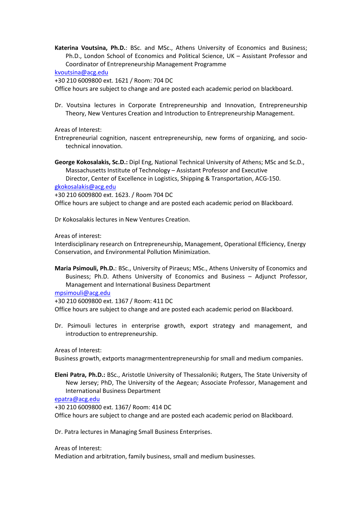**Katerina Voutsina, Ph.D.**: BSc. and MSc., Athens University of Economics and Business; Ph.D., London School of Economics and Political Science, UK – Assistant Professor and Coordinator of Entrepreneurship Management Programme

[kvoutsina@acg.edu](mailto:kvoutsina@acg.edu)

+30 210 6009800 ext. 1621 / Room: 704 DC

Office hours are subject to change and are posted each academic period on blackboard.

Dr. Voutsina lectures in Corporate Entrepreneurship and Innovation, Entrepreneurship Theory, New Ventures Creation and Introduction to Entrepreneurship Management.

Areas of Interest:

- Entrepreneurial cognition, nascent entrepreneurship, new forms of organizing, and sociotechnical innovation.
- **George Kokosalakis, Sc.D.:** Dipl Eng, National Technical University of Athens; MSc and Sc.D., Massachusetts Institute of Technology – Assistant Professor and Executive

Director, Center of Excellence in Logistics, Shipping & Transportation, ACG-150. [gkokosalakis@acg.edu](mailto:gkokosalakis@acg.edu)

+30 210 6009800 ext. 1623. / Room 704 DC

Office hours are subject to change and are posted each academic period on Blackboard.

Dr Kokosalakis lectures in New Ventures Creation.

Areas of interest:

Interdisciplinary research on Entrepreneurship, Management, Operational Efficiency, Energy Conservation, and Environmental Pollution Minimization.

**Maria Psimouli, Ph.D.**: BSc., University of Piraeus; MSc., Athens University of Economics and Business; Ph.D. Athens University of Economics and Business – Adjunct Professor, Management and International Business Department

[mpsimouli@acg.edu](mailto:mpsimouli@acg.edu)

+30 210 6009800 ext. 1367 / Room: 411 DC Office hours are subject to change and are posted each academic period on Blackboard.

Dr. Psimouli lectures in enterprise growth, export strategy and management, and introduction to entrepreneurship.

Areas of Interest:

Business growth, extports managrmententrepreneurship for small and medium companies.

**Eleni Patra, Ph.D.:** BSc., Aristotle University of Thessaloniki; Rutgers, The State University of New Jersey; PhD, The University of the Aegean; Associate Professor, Management and International Business Department

[epatra@acg.edu](mailto:epatra@acg.edu)

+30 210 6009800 ext. 1367/ Room: 414 DC Office hours are subject to change and are posted each academic period on Blackboard.

Dr. Patra lectures in Managing Small Business Enterprises.

Areas of Interest:

Mediation and arbitration, family business, small and medium businesses.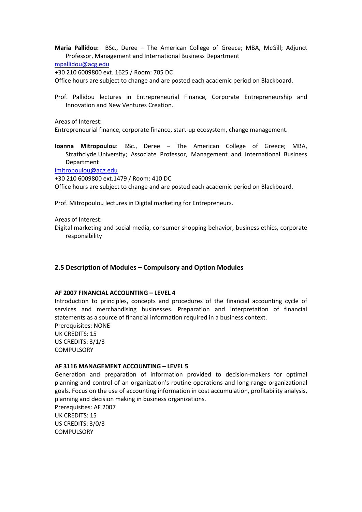**Maria Pallidou:** BSc., Deree – The American College of Greece; MBA, McGill; Adjunct Professor, Management and International Business Department

[mpallidou@acg.edu](mailto:mpallidou@acg.edu)

+30 210 6009800 ext. 1625 / Room: 705 DC

Office hours are subject to change and are posted each academic period on Blackboard.

Prof. Pallidou lectures in Entrepreneurial Finance, Corporate Entrepreneurship and Innovation and New Ventures Creation.

Areas of Interest:

Entrepreneurial finance, corporate finance, start-up ecosystem, change management.

**Ioanna Mitropoulou**: BSc., Deree – The American College of Greece; MBA, Strathclyde University; Associate Professor, Management and International Business Department

[imitropoulou@acg.edu](mailto:imitropoulou@acg.edu)

+30 210 6009800 ext.1479 / Room: 410 DC

Office hours are subject to change and are posted each academic period on Blackboard.

Prof. Mitropoulou lectures in Digital marketing for Entrepreneurs.

Areas of Interest:

Digital marketing and social media, consumer shopping behavior, business ethics, corporate responsibility

#### <span id="page-11-0"></span>**2.5 Description of Modules – Compulsory and Option Modules**

#### **AF 2007 FINANCIAL ACCOUNTING – LEVEL 4**

Introduction to principles, concepts and procedures of the financial accounting cycle of services and merchandising businesses. Preparation and interpretation of financial statements as a source of financial information required in a business context. Prerequisites: NONE UK CREDITS: 15 US CREDITS: 3/1/3

**COMPULSORY** 

# **AF 3116 MANAGEMENT ACCOUNTING – LEVEL 5**

Generation and preparation of information provided to decision-makers for optimal planning and control of an organization's routine operations and long-range organizational goals. Focus on the use of accounting information in cost accumulation, profitability analysis, planning and decision making in business organizations.

Prerequisites: AF 2007 UK CREDITS: 15 US CREDITS: 3/0/3 **COMPULSORY**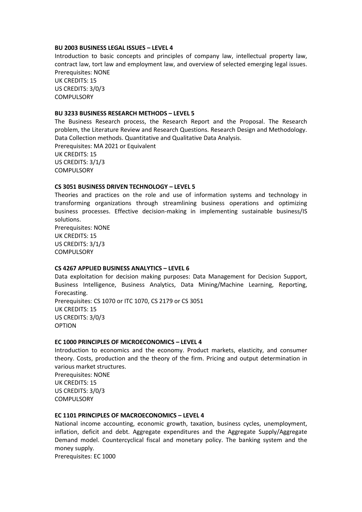#### **BU 2003 BUSINESS LEGAL ISSUES – LEVEL 4**

Introduction to basic concepts and principles of company law, intellectual property law, contract law, tort law and employment law, and overview of selected emerging legal issues. Prerequisites: NONE UK CREDITS: 15 US CREDITS: 3/0/3 **COMPULSORY** 

#### **BU 3233 BUSINESS RESEARCH METHODS – LEVEL 5**

The Business Research process, the Research Report and the Proposal. The Research problem, the Literature Review and Research Questions. Research Design and Methodology. Data Collection methods. Quantitative and Qualitative Data Analysis. Prerequisites: MA 2021 or Equivalent

UK CREDITS: 15 US CREDITS: 3/1/3 **COMPULSORY** 

#### **CS 3051 BUSINESS DRIVEN TECHNOLOGY – LEVEL 5**

Theories and practices on the role and use of information systems and technology in transforming organizations through streamlining business operations and optimizing business processes. Effective decision-making in implementing sustainable business/IS solutions.

Prerequisites: NONE UK CREDITS: 15 US CREDITS: 3/1/3 **COMPULSORY** 

#### **CS 4267 APPLIED BUSINESS ANALYTICS – LEVEL 6**

Data exploitation for decision making purposes: Data Management for Decision Support, Business Intelligence, Business Analytics, Data Mining/Machine Learning, Reporting, Forecasting. Prerequisites: CS 1070 or ITC 1070, CS 2179 or CS 3051 UK CREDITS: 15 US CREDITS: 3/0/3 OPTION

#### **EC 1000 PRINCIPLES OF MICROECONOMICS – LEVEL 4**

Introduction to economics and the economy. Product markets, elasticity, and consumer theory. Costs, production and the theory of the firm. Pricing and output determination in various market structures.

Prerequisites: NONE UK CREDITS: 15 US CREDITS: 3/0/3 **COMPULSORY** 

## **EC 1101 PRINCIPLES OF MACROECONOMICS – LEVEL 4**

National income accounting, economic growth, taxation, business cycles, unemployment, inflation, deficit and debt. Aggregate expenditures and the Aggregate Supply/Aggregate Demand model. Countercyclical fiscal and monetary policy. The banking system and the money supply.

Prerequisites: EC 1000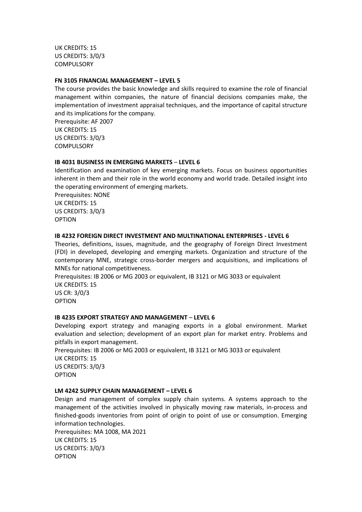UK CREDITS: 15 US CREDITS: 3/0/3 **COMPULSORY** 

#### **FN 3105 FINANCIAL MANAGEMENT – LEVEL 5**

The course provides the basic knowledge and skills required to examine the role of financial management within companies, the nature of financial decisions companies make, the implementation of investment appraisal techniques, and the importance of capital structure and its implications for the company.

Prerequisite: AF 2007 UK CREDITS: 15 US CREDITS: 3/0/3 **COMPULSORY** 

#### **IB 4031 BUSINESS IN EMERGING MARKETS** – **LEVEL 6**

Identification and examination of key emerging markets. Focus on business opportunities inherent in them and their role in the world economy and world trade. Detailed insight into the operating environment of emerging markets.

Prerequisites: NONE UK CREDITS: 15 US CREDITS: 3/0/3 OPTION

#### **IB 4232 FOREIGN DIRECT INVESTMENT AND MULTINATIONAL ENTERPRISES - LEVEL 6**

Theories, definitions, issues, magnitude, and the geography of Foreign Direct Investment (FDI) in developed, developing and emerging markets. Organization and structure of the contemporary MNE, strategic cross-border mergers and acquisitions, and implications of MNEs for national competitiveness.

Prerequisites: IB 2006 or MG 2003 or equivalent, IB 3121 or MG 3033 or equivalent UK CREDITS: 15 US CR: 3/0/3

OPTION

## **IB 4235 EXPORT STRATEGY AND MANAGEMENT** – **LEVEL 6**

Developing export strategy and managing exports in a global environment. Market evaluation and selection; development of an export plan for market entry. Problems and pitfalls in export management.

Prerequisites: IB 2006 or MG 2003 or equivalent, IB 3121 or MG 3033 or equivalent UK CREDITS: 15 US CREDITS: 3/0/3 OPTION

## **LM 4242 SUPPLY CHAIN MANAGEMENT – LEVEL 6**

Design and management of complex supply chain systems. A systems approach to the management of the activities involved in physically moving raw materials, in-process and finished-goods inventories from point of origin to point of use or consumption. Emerging information technologies.

Prerequisites: MA 1008, MA 2021 UK CREDITS: 15 US CREDITS: 3/0/3 OPTION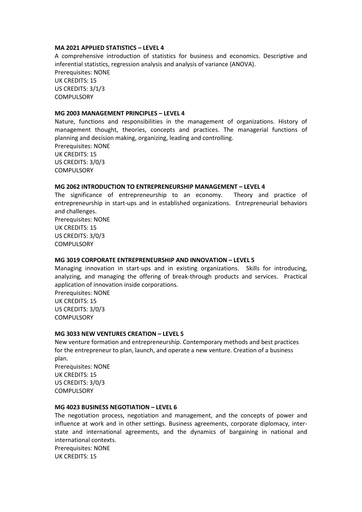#### **MA 2021 APPLIED STATISTICS – LEVEL 4**

A comprehensive introduction of statistics for business and economics. Descriptive and inferential statistics, regression analysis and analysis of variance (ANOVA). Prerequisites: NONE UK CREDITS: 15 US CREDITS: 3/1/3 **COMPULSORY** 

#### **MG 2003 MANAGEMENT PRINCIPLES – LEVEL 4**

Nature, functions and responsibilities in the management of organizations. History of management thought, theories, concepts and practices. The managerial functions of planning and decision making, organizing, leading and controlling. Prerequisites: NONE UK CREDITS: 15 US CREDITS: 3/0/3 **COMPULSORY** 

#### **MG 2062 INTRODUCTION TO ENTREPRENEURSHIP MANAGEMENT – LEVEL 4**

The significance of entrepreneurship to an economy. Theory and practice of entrepreneurship in start-ups and in established organizations. Entrepreneurial behaviors and challenges.

Prerequisites: NONE UK CREDITS: 15 US CREDITS: 3/0/3 **COMPULSORY** 

#### **MG 3019 CORPORATE ENTREPRENEURSHIP AND INNOVATION – LEVEL 5**

Managing innovation in start-ups and in existing organizations. Skills for introducing, analyzing, and managing the offering of break-through products and services. Practical application of innovation inside corporations.

Prerequisites: NONE UK CREDITS: 15 US CREDITS: 3/0/3 **COMPULSORY** 

#### **MG 3033 NEW VENTURES CREATION – LEVEL 5**

New venture formation and entrepreneurship. Contemporary methods and best practices for the entrepreneur to plan, launch, and operate a new venture. Creation of a business plan. Prerequisites: NONE UK CREDITS: 15 US CREDITS: 3/0/3 **COMPULSORY** 

#### **MG 4023 BUSINESS NEGOTIATION – LEVEL 6**

The negotiation process, negotiation and management, and the concepts of power and influence at work and in other settings. Business agreements, corporate diplomacy, interstate and international agreements, and the dynamics of bargaining in national and international contexts. Prerequisites: NONE

UK CREDITS: 15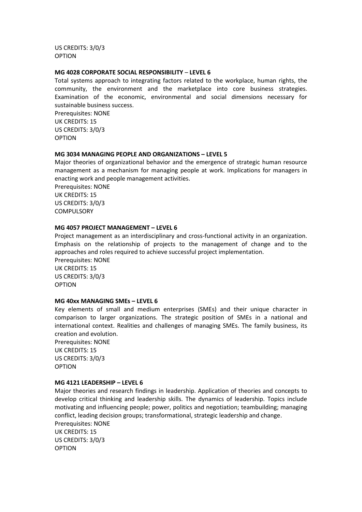US CREDITS: 3/0/3 OPTION

#### **MG 4028 CORPORATE SOCIAL RESPONSIBILITY** – **LEVEL 6**

Total systems approach to integrating factors related to the workplace, human rights, the community, the environment and the marketplace into core business strategies. Examination of the economic, environmental and social dimensions necessary for sustainable business success. Prerequisites: NONE UK CREDITS: 15

US CREDITS: 3/0/3 OPTION

#### **MG 3034 MANAGING PEOPLE AND ORGANIZATIONS – LEVEL 5**

Major theories of organizational behavior and the emergence of strategic human resource management as a mechanism for managing people at work. Implications for managers in enacting work and people management activities. Prerequisites: NONE UK CREDITS: 15 US CREDITS: 3/0/3 **COMPULSORY** 

#### **MG 4057 PROJECT MANAGEMENT – LEVEL 6**

Project management as an interdisciplinary and cross-functional activity in an organization. Emphasis on the relationship of projects to the management of change and to the approaches and roles required to achieve successful project implementation.

Prerequisites: NONE UK CREDITS: 15 US CREDITS: 3/0/3 OPTION

#### **MG 40xx MANAGING SMEs – LEVEL 6**

Key elements of small and medium enterprises (SMEs) and their unique character in comparison to larger organizations. The strategic position of SMEs in a national and international context. Realities and challenges of managing SMEs. The family business, its creation and evolution.

Prerequisites: NONE UK CREDITS: 15 US CREDITS: 3/0/3 OPTION

#### **MG 4121 LEADERSHIP – LEVEL 6**

Major theories and research findings in leadership. Application of theories and concepts to develop critical thinking and leadership skills. The dynamics of leadership. Topics include motivating and influencing people; power, politics and negotiation; teambuilding; managing conflict, leading decision groups; transformational, strategic leadership and change. Prerequisites: NONE UK CREDITS: 15 US CREDITS: 3/0/3 OPTION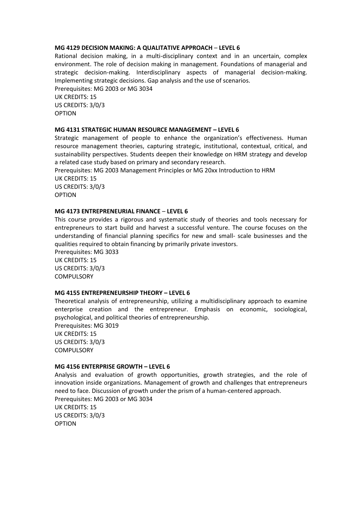#### **MG 4129 DECISION MAKING: A QUALITATIVE APPROACH** – **LEVEL 6**

Rational decision making, in a multi-disciplinary context and in an uncertain, complex environment. The role of decision making in management. Foundations of managerial and strategic decision-making. Interdisciplinary aspects of managerial decision-making. Implementing strategic decisions. Gap analysis and the use of scenarios. Prerequisites: MG 2003 or MG 3034 UK CREDITS: 15

US CREDITS: 3/0/3 OPTION

#### **MG 4131 STRATEGIC HUMAN RESOURCE MANAGEMENT – LEVEL 6**

Strategic management of people to enhance the organization's effectiveness. Human resource management theories, capturing strategic, institutional, contextual, critical, and sustainability perspectives. Students deepen their knowledge on HRM strategy and develop a related case study based on primary and secondary research.

Prerequisites: MG 2003 Management Principles or MG 20xx Introduction to HRM UK CREDITS: 15 US CREDITS: 3/0/3 OPTION

## **MG 4173 ENTREPRENEURIAL FINANCE** – **LEVEL 6**

This course provides a rigorous and systematic study of theories and tools necessary for entrepreneurs to start build and harvest a successful venture. The course focuses on the understanding of financial planning specifics for new and small- scale businesses and the qualities required to obtain financing by primarily private investors.

Prerequisites: MG 3033 UK CREDITS: 15 US CREDITS: 3/0/3 **COMPULSORY** 

## **MG 4155 ENTREPRENEURSHIP THEORY – LEVEL 6**

Theoretical analysis of entrepreneurship, utilizing a multidisciplinary approach to examine enterprise creation and the entrepreneur. Emphasis on economic, sociological, psychological, and political theories of entrepreneurship.

Prerequisites: MG 3019 UK CREDITS: 15 US CREDITS: 3/0/3 **COMPULSORY** 

#### **MG 4156 ENTERPRISE GROWTH – LEVEL 6**

Analysis and evaluation of growth opportunities, growth strategies, and the role of innovation inside organizations. Management of growth and challenges that entrepreneurs need to face. Discussion of growth under the prism of a human-centered approach. Prerequisites: MG 2003 or MG 3034 UK CREDITS: 15 US CREDITS: 3/0/3 OPTION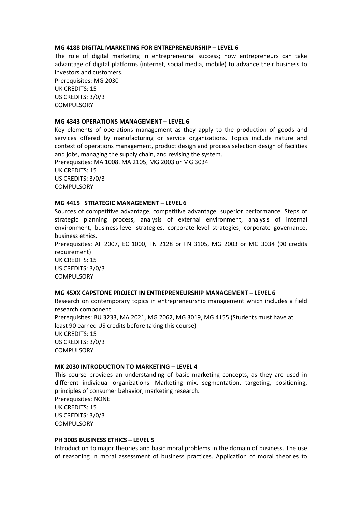#### **MG 4188 DIGITAL MARKETING FOR ENTREPRENEURSHIP – LEVEL 6**

The role of digital marketing in entrepreneurial success; how entrepreneurs can take advantage of digital platforms (internet, social media, mobile) to advance their business to investors and customers. Prerequisites: MG 2030

UK CREDITS: 15 US CREDITS: 3/0/3 **COMPULSORY** 

#### **MG 4343 OPERATIONS MANAGEMENT – LEVEL 6**

Key elements of operations management as they apply to the production of goods and services offered by manufacturing or service organizations. Topics include nature and context of operations management, product design and process selection design of facilities and jobs, managing the supply chain, and revising the system. Prerequisites: MA 1008, MA 2105, MG 2003 or MG 3034

UK CREDITS: 15 US CREDITS: 3/0/3 **COMPULSORY** 

#### **MG 4415 STRATEGIC MANAGEMENT – LEVEL 6**

Sources of competitive advantage, competitive advantage, superior performance. Steps of strategic planning process, analysis of external environment, analysis of internal environment, business-level strategies, corporate-level strategies, corporate governance, business ethics.

Prerequisites: AF 2007, EC 1000, FN 2128 or FN 3105, MG 2003 or MG 3034 (90 credits requirement)

UK CREDITS: 15 US CREDITS: 3/0/3 **COMPULSORY** 

## **MG 45XX CAPSTONE PROJECT IN ENTREPRENEURSHIP MANAGEMENT – LEVEL 6**

Research on contemporary topics in entrepreneurship management which includes a field research component. Prerequisites: BU 3233, MA 2021, MG 2062, MG 3019, MG 4155 (Students must have at least 90 earned US credits before taking this course)

UK CREDITS: 15 US CREDITS: 3/0/3 **COMPULSORY** 

#### **MK 2030 INTRODUCTION TO MARKETING – LEVEL 4**

This course provides an understanding of basic marketing concepts, as they are used in different individual organizations. Marketing mix, segmentation, targeting, positioning, principles of consumer behavior, marketing research.

Prerequisites: NONE UK CREDITS: 15 US CREDITS: 3/0/3 COMPULSORY

#### **PH 3005 BUSINESS ETHICS – LEVEL 5**

Introduction to major theories and basic moral problems in the domain of business. The use of reasoning in moral assessment of business practices. Application of moral theories to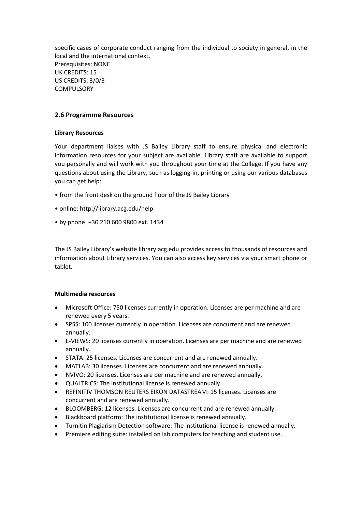specific cases of corporate conduct ranging from the individual to society in general, in the local and the international context. Prerequisites: NONE UK CREDITS: 15 US CREDITS: 3/0/3 **COMPULSORY** 

# <span id="page-18-0"></span>**2.6 Programme Resources**

# **Library Resources**

Your department liaises with JS Bailey Library staff to ensure physical and electronic information resources for your subject are available. Library staff are available to support you personally and will work with you throughout your time at the College. If you have any questions about using the Library, such as logging-in, printing or using our various databases you can get help:

- from the front desk on the ground floor of the JS Bailey Library
- online: http://library.acg.edu/help
- by phone: +30 210 600 9800 ext. 1434

The JS Bailey Library's website library.acg.edu provides access to thousands of resources and information about Library services. You can also access key services via your smart phone or tablet.

## **Multimedia resources**

- Microsoft Office: 750 licenses currently in operation. Licenses are per machine and are renewed every 5 years.
- SPSS: 100 licenses currently in operation. Licenses are concurrent and are renewed annually.
- E-VIEWS: 20 licenses currently in operation. Licenses are per machine and are renewed annually.
- STATA: 25 licenses. Licenses are concurrent and are renewed annually.
- MATLAB: 30 licenses. Licenses are concurrent and are renewed annually.
- NVIVO: 20 licenses. Licenses are per machine and are renewed annually.
- QUALTRICS: The institutional license is renewed annually.
- REFINITIV THOMSON REUTERS EIKON DATASTREAM: 15 licenses. Licenses are concurrent and are renewed annually.
- BLOOMBERG: 12 licenses. Licenses are concurrent and are renewed annually.
- Blackboard platform: The institutional license is renewed annually.
- Turnitin Plagiarism Detection software: The institutional license is renewed annually.
- Premiere editing suite: installed on lab computers for teaching and student use.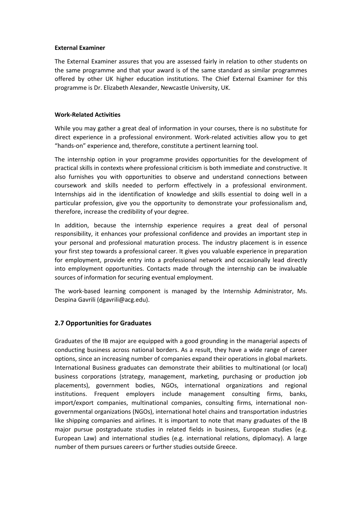### **External Examiner**

The External Examiner assures that you are assessed fairly in relation to other students on the same programme and that your award is of the same standard as similar programmes offered by other UK higher education institutions. The Chief External Examiner for this programme is Dr. Elizabeth Alexander, Newcastle University, UK.

## **Work-Related Activities**

While you may gather a great deal of information in your courses, there is no substitute for direct experience in a professional environment. Work-related activities allow you to get "hands-on" experience and, therefore, constitute a pertinent learning tool.

The internship option in your programme provides opportunities for the development of practical skills in contexts where professional criticism is both immediate and constructive. It also furnishes you with opportunities to observe and understand connections between coursework and skills needed to perform effectively in a professional environment. Internships aid in the identification of knowledge and skills essential to doing well in a particular profession, give you the opportunity to demonstrate your professionalism and, therefore, increase the credibility of your degree.

In addition, because the internship experience requires a great deal of personal responsibility, it enhances your professional confidence and provides an important step in your personal and professional maturation process. The industry placement is in essence your first step towards a professional career. It gives you valuable experience in preparation for employment, provide entry into a professional network and occasionally lead directly into employment opportunities. Contacts made through the internship can be invaluable sources of information for securing eventual employment.

The work-based learning component is managed by the Internship Administrator, Ms. Despina Gavrili (dgavrili@acg.edu).

## <span id="page-19-0"></span>**2.7 Opportunities for Graduates**

Graduates of the IB major are equipped with a good grounding in the managerial aspects of conducting business across national borders. As a result, they have a wide range of career options, since an increasing number of companies expand their operations in global markets. International Business graduates can demonstrate their abilities to multinational (or local) business corporations (strategy, management, marketing, purchasing or production job placements), government bodies, NGOs, international organizations and regional institutions. Frequent employers include management consulting firms, banks, import/export companies, multinational companies, consulting firms, international nongovernmental organizations (NGOs), international hotel chains and transportation industries like shipping companies and airlines. It is important to note that many graduates of the IB major pursue postgraduate studies in related fields in business, European studies (e.g. European Law) and international studies (e.g. international relations, diplomacy). A large number of them pursues careers or further studies outside Greece.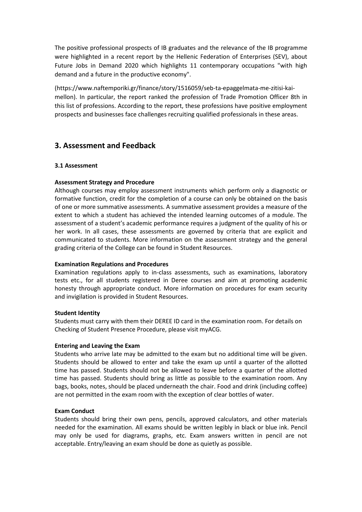The positive professional prospects of IB graduates and the relevance of the IB programme were highlighted in a recent report by the Hellenic Federation of Enterprises (SEV), about Future Jobs in Demand 2020 which highlights 11 contemporary occupations "with high demand and a future in the productive economy".

(https://www.naftemporiki.gr/finance/story/1516059/seb-ta-epaggelmata-me-zitisi-kaimellon). In particular, the report ranked the profession of Trade Promotion Officer 8th in this list of professions. According to the report, these professions have positive employment prospects and businesses face challenges recruiting qualified professionals in these areas.

# <span id="page-20-0"></span>**3. Assessment and Feedback**

# <span id="page-20-1"></span>**3.1 Assessment**

# **Assessment Strategy and Procedure**

Although courses may employ assessment instruments which perform only a diagnostic or formative function, credit for the completion of a course can only be obtained on the basis of one or more summative assessments. A summative assessment provides a measure of the extent to which a student has achieved the intended learning outcomes of a module. The assessment of a student's academic performance requires a judgment of the quality of his or her work. In all cases, these assessments are governed by criteria that are explicit and communicated to students. More information on the assessment strategy and the general grading criteria of the College can be found in Student Resources.

## **Examination Regulations and Procedures**

Examination regulations apply to in-class assessments, such as examinations, laboratory tests etc., for all students registered in Deree courses and aim at promoting academic honesty through appropriate conduct. More information on procedures for exam security and invigilation is provided in Student Resources.

## **Student Identity**

Students must carry with them their DEREE ID card in the examination room. For details on Checking of Student Presence Procedure, please visit myACG.

## **Entering and Leaving the Exam**

Students who arrive late may be admitted to the exam but no additional time will be given. Students should be allowed to enter and take the exam up until a quarter of the allotted time has passed. Students should not be allowed to leave before a quarter of the allotted time has passed. Students should bring as little as possible to the examination room. Any bags, books, notes, should be placed underneath the chair. Food and drink (including coffee) are not permitted in the exam room with the exception of clear bottles of water.

## **Exam Conduct**

Students should bring their own pens, pencils, approved calculators, and other materials needed for the examination. All exams should be written legibly in black or blue ink. Pencil may only be used for diagrams, graphs, etc. Exam answers written in pencil are not acceptable. Entry/leaving an exam should be done as quietly as possible.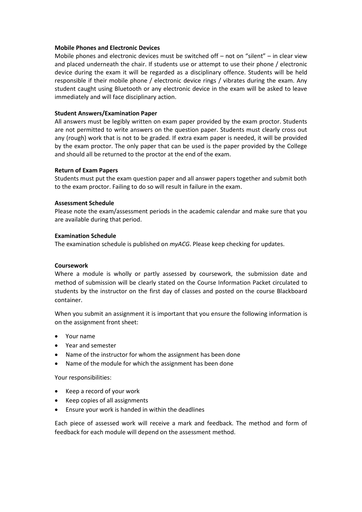#### **Mobile Phones and Electronic Devices**

Mobile phones and electronic devices must be switched off – not on "silent" – in clear view and placed underneath the chair. If students use or attempt to use their phone / electronic device during the exam it will be regarded as a disciplinary offence. Students will be held responsible if their mobile phone / electronic device rings / vibrates during the exam. Any student caught using Bluetooth or any electronic device in the exam will be asked to leave immediately and will face disciplinary action.

## **Student Answers/Examination Paper**

All answers must be legibly written on exam paper provided by the exam proctor. Students are not permitted to write answers on the question paper. Students must clearly cross out any (rough) work that is not to be graded. If extra exam paper is needed, it will be provided by the exam proctor. The only paper that can be used is the paper provided by the College and should all be returned to the proctor at the end of the exam.

#### **Return of Exam Papers**

Students must put the exam question paper and all answer papers together and submit both to the exam proctor. Failing to do so will result in failure in the exam.

#### **Assessment Schedule**

Please note the exam/assessment periods in the academic calendar and make sure that you are available during that period.

#### **Examination Schedule**

The examination schedule is published on *myACG*. Please keep checking for updates.

#### **Coursework**

Where a module is wholly or partly assessed by coursework, the submission date and method of submission will be clearly stated on the Course Information Packet circulated to students by the instructor on the first day of classes and posted on the course Blackboard container.

When you submit an assignment it is important that you ensure the following information is on the assignment front sheet:

- Your name
- Year and semester
- Name of the instructor for whom the assignment has been done
- Name of the module for which the assignment has been done

Your responsibilities:

- Keep a record of your work
- Keep copies of all assignments
- Ensure your work is handed in within the deadlines

Each piece of assessed work will receive a mark and feedback. The method and form of feedback for each module will depend on the assessment method.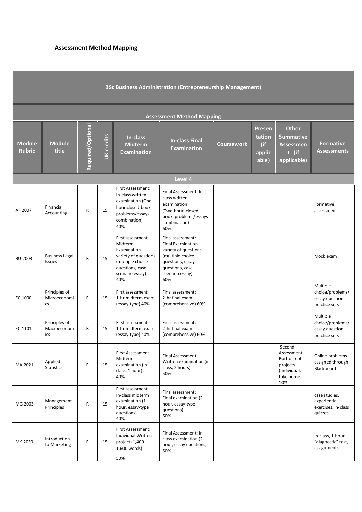# **Assessment Method Mapping**

| <b>BSc Business Administration (Entrepreneurship Management)</b> |                                        |                   |                   |                                                                                                                                        |                                                                                                                                                       |            |                                                   |                                                                                        |                                                                 |  |  |  |
|------------------------------------------------------------------|----------------------------------------|-------------------|-------------------|----------------------------------------------------------------------------------------------------------------------------------------|-------------------------------------------------------------------------------------------------------------------------------------------------------|------------|---------------------------------------------------|----------------------------------------------------------------------------------------|-----------------------------------------------------------------|--|--|--|
| <b>Assessment Method Mapping</b>                                 |                                        |                   |                   |                                                                                                                                        |                                                                                                                                                       |            |                                                   |                                                                                        |                                                                 |  |  |  |
| <b>Module</b><br><b>Rubric</b>                                   | <b>Module</b><br>title                 | Required/Optional | <b>UK</b> credits | In-class<br><b>Midterm</b><br><b>Examination</b>                                                                                       | <b>In-class Final</b><br><b>Examination</b>                                                                                                           | Coursework | <b>Presen</b><br>tation<br>(if<br>applic<br>able) | <b>Other</b><br><b>Summative</b><br><b>Assessmen</b><br>t (if<br>applicable)           | <b>Formative</b><br><b>Assessments</b>                          |  |  |  |
|                                                                  | Level 4                                |                   |                   |                                                                                                                                        |                                                                                                                                                       |            |                                                   |                                                                                        |                                                                 |  |  |  |
| AF 2007                                                          | Financial<br>Accounting                | R                 | 15                | First Assessment:<br>In-class written<br>examination (One-<br>hour closed-book,<br>problems/essays<br>combination)<br>40%              | Final Assessment: In-<br>class written<br>examination<br>(Two-hour, closed-<br>book, problems/essays<br>combination)<br>60%                           |            |                                                   |                                                                                        | Formative<br>assessment                                         |  |  |  |
| <b>BU 2003</b>                                                   | <b>Business Legal</b><br><b>Issues</b> | R                 | 15                | First assessment:<br>Midterm<br>Examination -<br>variety of questions<br>(multiple choice<br>questions, case<br>scenario essay)<br>40% | Final assessment:<br>Final Examination -<br>variety of questions<br>(multiple choice<br>questions, essay<br>questions, case<br>scenario essay)<br>60% |            |                                                   |                                                                                        | Mock exam                                                       |  |  |  |
| EC 1000                                                          | Principles of<br>Microeconomi<br>cs    | R                 | 15                | First assessment:<br>1-hr midterm exam<br>(essay-type) 40%                                                                             | Final assessment:<br>2-hr final exam<br>(comprehensive) 60%                                                                                           |            |                                                   |                                                                                        | Multiple<br>choice/problems/<br>essay question<br>practice sets |  |  |  |
| EC 1101                                                          | Principles of<br>Macroeconom<br>ics    | R                 | 15                | First assessment:<br>1-hr midterm exam<br>(essay-type) 40%                                                                             | Final assessment:<br>2-hr final exam<br>(comprehensive) 60%                                                                                           |            |                                                   |                                                                                        | Multiple<br>choice/problems/<br>essay question<br>practice sets |  |  |  |
| MA 2021                                                          | Applied<br><b>Statistics</b>           | R                 | 15                | First Assessment -<br>Midterm<br>examination (in<br>class, 1 hour)<br>40%                                                              | Final Assessment-<br>Written examination (in<br>class, 2 hours)<br>50%                                                                                |            |                                                   | Second<br>Assessment-<br>Portfolio of<br>projects<br>(individual,<br>take home)<br>10% | Online problems<br>assigned through<br>Blackboard               |  |  |  |
| MG 2003                                                          | Management<br>Principles               | R                 | 15                | First assessment:<br>In-class midterm<br>examination (1-<br>hour, essay-type<br>questions)<br>40%                                      | Final assessment:<br>Final examination (2-<br>hour, essay-type<br>questions)<br>60%                                                                   |            |                                                   |                                                                                        | case studies,<br>experiential<br>exercises, in-class<br>quizzes |  |  |  |
| MK 2030                                                          | Introduction<br>to Marketing           | R                 | 15                | First Assessment:<br>Individual Written<br>project (1,400-<br>1,600 words)<br>50%                                                      | Final Assessment: In-<br>class examination (2-<br>hour, essay questions)<br>50%                                                                       |            |                                                   |                                                                                        | In-class, 1-hour,<br>"diagnostic" test,<br>assignments          |  |  |  |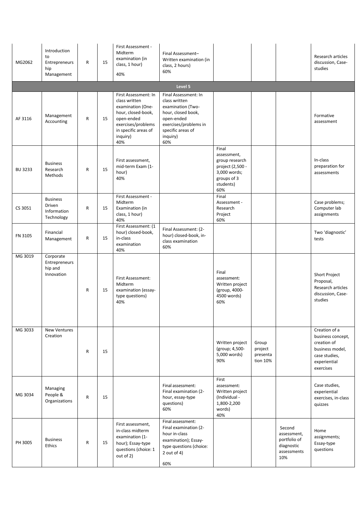| MG2062         | Introduction<br>to<br>Entrepreneurs<br>hip<br>Management | R            | 15 | First Assessment -<br>Midterm<br>examination (in<br>class, 1 hour)<br>40%                                                                                       | Final Assessment-<br>Written examination (in<br>class, 2 hours)<br>60%                                                                                          |                                                                                                               |                                          |                                                                           | Research articles<br>discussion, Case-<br>studies                                                                  |
|----------------|----------------------------------------------------------|--------------|----|-----------------------------------------------------------------------------------------------------------------------------------------------------------------|-----------------------------------------------------------------------------------------------------------------------------------------------------------------|---------------------------------------------------------------------------------------------------------------|------------------------------------------|---------------------------------------------------------------------------|--------------------------------------------------------------------------------------------------------------------|
|                |                                                          |              |    |                                                                                                                                                                 | Level 5                                                                                                                                                         |                                                                                                               |                                          |                                                                           |                                                                                                                    |
| AF 3116        | Management<br>Accounting                                 | ${\sf R}$    | 15 | First Assessment: In<br>class written<br>examination (One-<br>hour, closed-book,<br>open-ended<br>exercises/problems<br>in specific areas of<br>inquiry)<br>40% | Final Assessment: In<br>class written<br>examination (Two-<br>hour, closed book,<br>open-ended<br>exercises/problems in<br>specific areas of<br>inquiry)<br>60% |                                                                                                               |                                          |                                                                           | Formative<br>assessment                                                                                            |
| <b>BU 3233</b> | <b>Business</b><br>Research<br>Methods                   | R            | 15 | First assessment,<br>mid-term Exam (1-<br>hour)<br>40%                                                                                                          |                                                                                                                                                                 | Final<br>assessment,<br>group research<br>project (2,500 -<br>3,000 words;<br>groups of 3<br>students)<br>60% |                                          |                                                                           | In-class<br>preparation for<br>assessments                                                                         |
| CS 3051        | <b>Business</b><br>Driven<br>Information<br>Technology   | R            | 15 | First Assessment -<br>Midterm<br>Examination (in<br>class, 1 hour)<br>40%                                                                                       |                                                                                                                                                                 | Final<br>Assessment -<br>Research<br>Project<br>60%                                                           |                                          |                                                                           | Case problems;<br>Computer lab<br>assignments                                                                      |
| FN 3105        | Financial<br>Management                                  | R            | 15 | First Assessment: (1<br>hour) closed-book,<br>in-class<br>examination<br>40%                                                                                    | Final Assessment: (2-<br>hour) closed-book, in-<br>class examination<br>60%                                                                                     |                                                                                                               |                                          |                                                                           | Two 'diagnostic'<br>tests                                                                                          |
| MG 3019        | Corporate<br>Entrepreneurs<br>hip and<br>Innovation      | $\mathsf{R}$ | 15 | First Assessment:<br>Midterm<br>examination (essay-<br>type questions)<br>40%                                                                                   |                                                                                                                                                                 | Final<br>assessment:<br>Written project<br>(group, 4000-<br>4500 words)<br>60%                                |                                          |                                                                           | <b>Short Project</b><br>Proposal,<br>Research articles<br>discussion, Case-<br>studies                             |
| MG 3033        | <b>New Ventures</b><br>Creation                          | R            | 15 |                                                                                                                                                                 |                                                                                                                                                                 | Written project<br>(group; 4,500-<br>5,000 words)<br>90%                                                      | Group<br>project<br>presenta<br>tion 10% |                                                                           | Creation of a<br>business concept,<br>creation of<br>business model.<br>case studies,<br>experiential<br>exercises |
| MG 3034        | Managing<br>People &<br>Organizations                    | R            | 15 |                                                                                                                                                                 | Final assessment:<br>Final examination (2-<br>hour, essay-type<br>questions)<br>60%                                                                             | First<br>assessment:<br>Written project<br>(Individual -<br>1,800-2,200<br>words)<br>40%                      |                                          |                                                                           | Case studies,<br>experiential<br>exercises, in-class<br>quizzes                                                    |
| PH 3005        | <b>Business</b><br>Ethics                                | R            | 15 | First assessment,<br>in-class midterm<br>examination (1-<br>hour); Essay-type<br>questions (choice: 1<br>out of 2)                                              | Final assessment:<br>Final examination (2-<br>hour in-class<br>examination); Essay-<br>type questions (choice:<br>2 out of 4)<br>60%                            |                                                                                                               |                                          | Second<br>assessment,<br>portfolio of<br>diagnostic<br>assessments<br>10% | Home<br>assignments;<br>Essay-type<br>questions                                                                    |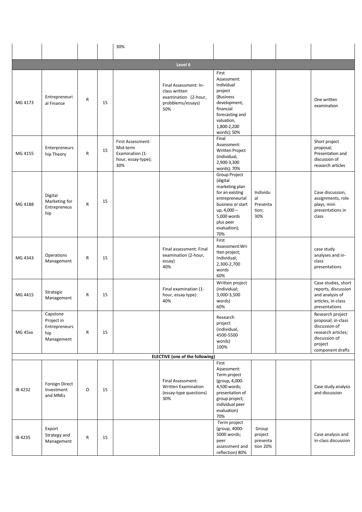|         |                                                              |           |    | 30%                                                                           |                                                                                            |                                                                                                                                                                          |                                            |                                                                                                                               |
|---------|--------------------------------------------------------------|-----------|----|-------------------------------------------------------------------------------|--------------------------------------------------------------------------------------------|--------------------------------------------------------------------------------------------------------------------------------------------------------------------------|--------------------------------------------|-------------------------------------------------------------------------------------------------------------------------------|
|         |                                                              |           |    |                                                                               |                                                                                            |                                                                                                                                                                          |                                            |                                                                                                                               |
|         |                                                              |           |    |                                                                               | Level 6                                                                                    |                                                                                                                                                                          |                                            |                                                                                                                               |
| MG 4173 | Entrepreneuri<br>al Finance                                  | R         | 15 |                                                                               | Final Assessment: In-<br>class written<br>examination (2-hour,<br>probblems/essays)<br>50% | First<br>Assessment:<br>Individual<br>project<br>(Business<br>development,<br>financial<br>forecasting and<br>valuation,<br>1,800-2,200<br>words); 50%                   |                                            | One written<br>examination                                                                                                    |
| MG 4155 | Enterpreneurs<br>hip Theory                                  | R         | 15 | First Assessment:<br>Mid-term<br>Examination (1-<br>hour, essay-type);<br>30% |                                                                                            | Final<br>Assessment:<br><b>Written Project</b><br>(individual,<br>2,900-3,300<br>words); 70%                                                                             |                                            | Short project<br>proposal;<br>Presentation and<br>discussion of<br>research articles                                          |
| MG 4188 | Digital<br>Marketing for<br>Entrepreneus<br>hip              | R         | 15 |                                                                               |                                                                                            | Group Project<br>(digital<br>marketing plan<br>for an existing<br>entrepreneurial<br>business or start<br>up, 4,000 -<br>5,000 words<br>plus peer<br>evaluation);<br>70% | Individu<br>al<br>Presenta<br>tion;<br>30% | Case discussion,<br>assignments, role<br>plays, mini<br>presentations in<br>class                                             |
| MG 4343 | Operations<br>Management                                     | R         | 15 |                                                                               | Final assessment: Final<br>examination (2-hour,<br>essay)<br>40%                           | First<br>Assessment: Wri<br>tten project;<br>Individual;<br>2,300-2,700<br>words<br>60%                                                                                  |                                            | case study<br>analyses and in-<br>class<br>presentations                                                                      |
| MG 4415 | Strategic<br>Management                                      | R         | 15 |                                                                               | Final examination (1-<br>hour, essay type)<br>40%                                          | Written project<br>(individual;<br>3,000-3,500<br>words)<br>60%                                                                                                          |                                            | Case studies, short<br>reports, discussion<br>and analysis of<br>articles, in-class<br>presentations                          |
| MG 45xx | Capstone<br>Project in<br>Entrepreneurs<br>hip<br>Management | ${\sf R}$ | 15 |                                                                               |                                                                                            | Research<br>project<br>(individual,<br>4500-5500<br>words)<br>100%                                                                                                       |                                            | Research project<br>proposal; in-class<br>discussion of<br>research articles;<br>discussion of<br>project<br>component drafts |
|         |                                                              |           |    |                                                                               | <b>ELECTIVE</b> (one of the following)                                                     | First                                                                                                                                                                    |                                            |                                                                                                                               |
| IB 4232 | Foreign Direct<br>Investment<br>and MNEs                     | O         | 15 |                                                                               | Final Assessment:<br><b>Written Examination</b><br>(essay-type questions)<br>30%           | Assessment:<br>Term project<br>(group, 4,000-<br>4,500 words;<br>presentation of<br>group project;<br>individual peer<br>evaluation)<br>70%                              |                                            | Case study analysis<br>and discussion                                                                                         |
| IB 4235 | Export<br>Strategy and<br>Management                         | R         | 15 |                                                                               |                                                                                            | Term project<br>(group, 4000-<br>5000 words;<br>peer<br>assessment and<br>reflection) 80%                                                                                | Group<br>project<br>presenta<br>tion 20%   | Case analysis and<br>in-class discussion                                                                                      |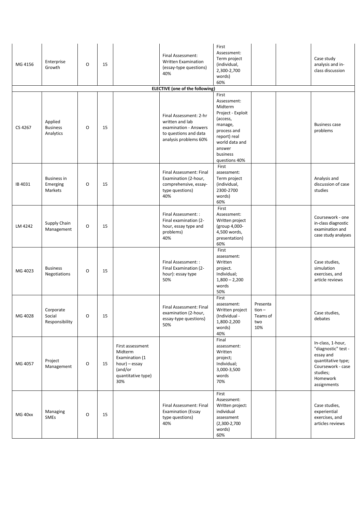| MG 4156 | Enterprise<br>Growth                      | O              | 15 |                                                                                                        | Final Assessment:<br>Written Examination<br>(essay-type questions)<br>40%                                            | First<br>Assessment:<br>Term project<br>(individual,<br>2,300-2,700<br>words)<br>60%                                                                                |                                                | Case study<br>analysis and in-<br>class discussion                                                                                      |
|---------|-------------------------------------------|----------------|----|--------------------------------------------------------------------------------------------------------|----------------------------------------------------------------------------------------------------------------------|---------------------------------------------------------------------------------------------------------------------------------------------------------------------|------------------------------------------------|-----------------------------------------------------------------------------------------------------------------------------------------|
|         |                                           |                |    |                                                                                                        | <b>ELECTIVE</b> (one of the following)                                                                               |                                                                                                                                                                     |                                                |                                                                                                                                         |
| CS 4267 | Applied<br><b>Business</b><br>Analytics   | O              | 15 |                                                                                                        | Final Assessment: 2-hr<br>written and lab<br>examination - Answers<br>to questions and data<br>analysis problems 60% | First<br>Assessment:<br>Midterm<br>Project - Exploit<br>(access,<br>manage,<br>process and<br>report) real<br>world data and<br>answer<br>business<br>questions 40% |                                                | <b>Business case</b><br>problems                                                                                                        |
| IB 4031 | <b>Business in</b><br>Emerging<br>Markets | O              | 15 |                                                                                                        | Final Assessment: Final<br>Examination (2-hour,<br>comprehensive, essay-<br>type questions)<br>40%                   | First<br>assessment:<br>Term project<br>(individual,<br>2300-2700<br>words)<br>60%                                                                                  |                                                | Analysis and<br>discussion of case<br>studies                                                                                           |
| LM 4242 | Supply Chain<br>Management                | O              | 15 |                                                                                                        | Final Assessment: :<br>Final examination (2-<br>hour, essay type and<br>problems)<br>40%                             | First<br>Assessment:<br>Written project<br>(group 4,000-<br>4,500 words,<br>presentation)<br>60%                                                                    |                                                | Coursework - one<br>in-class diagnostic<br>examination and<br>case study analyses                                                       |
| MG 4023 | <b>Business</b><br>Negotiations           | O              | 15 |                                                                                                        | Final Assessment: :<br>Final Examination (2-<br>hour): essay type<br>50%                                             | First<br>assessment:<br>Written<br>project.<br>Individual;<br>$1,800 - 2,200$<br>words<br>50%                                                                       |                                                | Case studies,<br>simulation<br>exercises, and<br>article reviews                                                                        |
| MG 4028 | Corporate<br>Social<br>Responsibility     | $\overline{O}$ | 15 |                                                                                                        | Final Assessment: Final<br>examination (2-hour,<br>essay-type questions)<br>50%                                      | First<br>assessment:<br>Written project<br>(Individual -<br>1,800-2,200<br>words)<br>40%                                                                            | Presenta<br>$tion -$<br>Teams of<br>two<br>10% | Case studies,<br>debates                                                                                                                |
| MG 4057 | Project<br>Management                     | O              | 15 | First assessment<br>Midterm<br>Examination (1<br>hour) – essay<br>(and/or<br>quantitative type)<br>30% |                                                                                                                      | Final<br>assessment:<br>Written<br>project;<br>Individual;<br>3,000-3,500<br>words<br>70%                                                                           |                                                | In-class, 1-hour,<br>"diagnostic" test -<br>essay and<br>quantitative type;<br>Coursework - case<br>studies;<br>Homework<br>assignments |
| MG 40xx | Managing<br><b>SMEs</b>                   | $\mathsf O$    | 15 |                                                                                                        | Final Assessment: Final<br><b>Examination (Essay</b><br>type questions)<br>40%                                       | First<br>Assessment:<br>Written project:<br>individual<br>assessment<br>$(2,300-2,700)$<br>words)<br>60%                                                            |                                                | Case studies,<br>experiential<br>exercises, and<br>articles reviews                                                                     |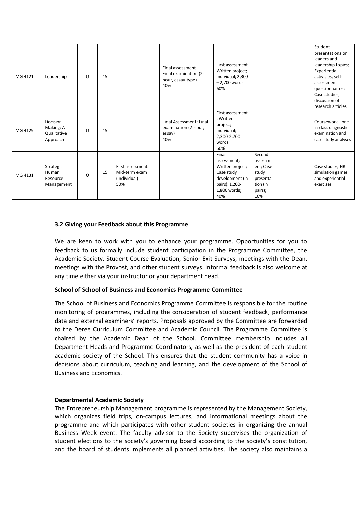| MG 4121 | Leadership                                        | O | 15 |                                                           | Final assessment<br>Final examination (2-<br>hour, essay-type)<br>40% | First assessment<br>Written project;<br>Individual; 2,300<br>$-2,700$ words<br>60%                                 |                                                                                   | Student<br>presentations on<br>leaders and<br>leadership topics;<br>Experiential<br>activities, self-<br>assessment<br>questionnaires;<br>Case studies,<br>discussion of<br>research articles |
|---------|---------------------------------------------------|---|----|-----------------------------------------------------------|-----------------------------------------------------------------------|--------------------------------------------------------------------------------------------------------------------|-----------------------------------------------------------------------------------|-----------------------------------------------------------------------------------------------------------------------------------------------------------------------------------------------|
| MG 4129 | Decision-<br>Making: A<br>Qualitative<br>Approach | O | 15 |                                                           | Final Assessment: Final<br>examination (2-hour,<br>essay)<br>40%      | First assessment<br>: Written<br>project;<br>Individual;<br>2,300-2,700<br>words<br>60%                            |                                                                                   | Coursework - one<br>in-class diagnostic<br>examination and<br>case study analyses                                                                                                             |
| MG 4131 | Strategic<br>Human<br>Resource<br>Management      | O | 15 | First assessment:<br>Mid-term exam<br>(individual)<br>50% |                                                                       | Final<br>assessment;<br>Written project;<br>Case study<br>development (in<br>pairs); 1,200-<br>1,800 words;<br>40% | Second<br>assessm<br>ent; Case<br>study<br>presenta<br>tion (in<br>pairs);<br>10% | Case studies, HR<br>simulation games,<br>and experiential<br>exercises                                                                                                                        |

#### <span id="page-26-0"></span>**3.2 Giving your Feedback about this Programme**

We are keen to work with you to enhance your programme. Opportunities for you to feedback to us formally include student participation in the Programme Committee, the Academic Society, Student Course Evaluation, Senior Exit Surveys, meetings with the Dean, meetings with the Provost, and other student surveys. Informal feedback is also welcome at any time either via your instructor or your department head.

#### **School of School of Business and Economics Programme Committee**

The School of Business and Economics Programme Committee is responsible for the routine monitoring of programmes, including the consideration of student feedback, performance data and external examiners' reports. Proposals approved by the Committee are forwarded to the Deree Curriculum Committee and Academic Council. The Programme Committee is chaired by the Academic Dean of the School. Committee membership includes all Department Heads and Programme Coordinators, as well as the president of each student academic society of the School. This ensures that the student community has a voice in decisions about curriculum, teaching and learning, and the development of the School of Business and Economics.

#### **Departmental Academic Society**

The Entrepreneurship Management programme is represented by the Management Society, which organizes field trips, on-campus lectures, and informational meetings about the programme and which participates with other student societies in organizing the annual Business Week event. The faculty advisor to the Society supervises the organization of student elections to the society's governing board according to the society's constitution, and the board of students implements all planned activities. The society also maintains a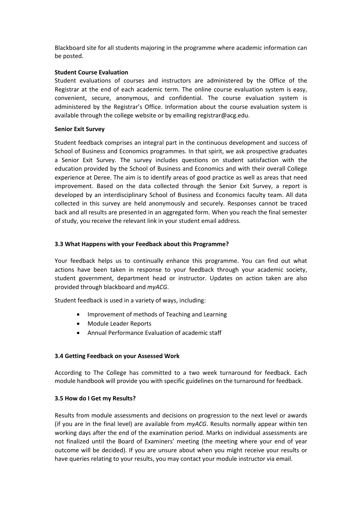Blackboard site for all students majoring in the programme where academic information can be posted.

## **Student Course Evaluation**

Student evaluations of courses and instructors are administered by the Office of the Registrar at the end of each academic term. The online course evaluation system is easy, convenient, secure, anonymous, and confidential. The course evaluation system is administered by the Registrar's Office. Information about the course evaluation system is available through the college website or by emailing registrar@acg.edu.

## **Senior Exit Survey**

Student feedback comprises an integral part in the continuous development and success of School of Business and Economics programmes. In that spirit, we ask prospective graduates a Senior Exit Survey. The survey includes questions on student satisfaction with the education provided by the School of Business and Economics and with their overall College experience at Deree. The aim is to identify areas of good practice as well as areas that need improvement. Based on the data collected through the Senior Exit Survey, a report is developed by an interdisciplinary School of Business and Economics faculty team. All data collected in this survey are held anonymously and securely. Responses cannot be traced back and all results are presented in an aggregated form. When you reach the final semester of study, you receive the relevant link in your student email address.

# <span id="page-27-0"></span>**3.3 What Happens with your Feedback about this Programme?**

Your feedback helps us to continually enhance this programme. You can find out what actions have been taken in response to your feedback through your academic society, student government, department head or instructor. Updates on action taken are also provided through blackboard and *myACG*.

Student feedback is used in a variety of ways, including:

- Improvement of methods of Teaching and Learning
- Module Leader Reports
- Annual Performance Evaluation of academic staff

## <span id="page-27-1"></span>**3.4 Getting Feedback on your Assessed Work**

According to The College has committed to a two week turnaround for feedback. Each module handbook will provide you with specific guidelines on the turnaround for feedback.

## <span id="page-27-2"></span>**3.5 How do I Get my Results?**

Results from module assessments and decisions on progression to the next level or awards (if you are in the final level) are available from *myACG*. Results normally appear within ten working days after the end of the examination period. Marks on individual assessments are not finalized until the Board of Examiners' meeting (the meeting where your end of year outcome will be decided). If you are unsure about when you might receive your results or have queries relating to your results, you may contact your module instructor via email.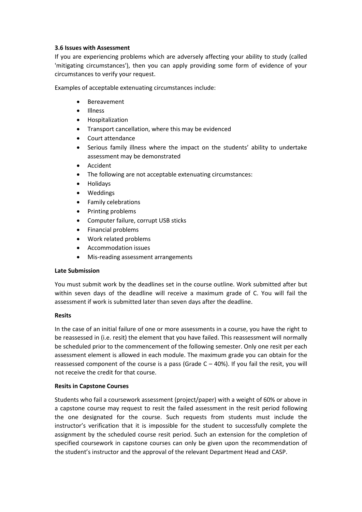# <span id="page-28-0"></span>**3.6 Issues with Assessment**

If you are experiencing problems which are adversely affecting your ability to study (called 'mitigating circumstances'), then you can apply providing some form of evidence of your circumstances to verify your request.

Examples of acceptable extenuating circumstances include:

- Bereavement
- Illness
- Hospitalization
- Transport cancellation, where this may be evidenced
- Court attendance
- Serious family illness where the impact on the students' ability to undertake assessment may be demonstrated
- Accident
- The following are not acceptable extenuating circumstances:
- Holidays
- Weddings
- Family celebrations
- Printing problems
- Computer failure, corrupt USB sticks
- Financial problems
- Work related problems
- Accommodation issues
- Mis-reading assessment arrangements

## **Late Submission**

You must submit work by the deadlines set in the course outline. Work submitted after but within seven days of the deadline will receive a maximum grade of C. You will fail the assessment if work is submitted later than seven days after the deadline.

## **Resits**

In the case of an initial failure of one or more assessments in a course, you have the right to be reassessed in (i.e. resit) the element that you have failed. This reassessment will normally be scheduled prior to the commencement of the following semester. Only one resit per each assessment element is allowed in each module. The maximum grade you can obtain for the reassessed component of the course is a pass (Grade  $C - 40$ %). If you fail the resit, you will not receive the credit for that course.

## **Resits in Capstone Courses**

Students who fail a coursework assessment (project/paper) with a weight of 60% or above in a capstone course may request to resit the failed assessment in the resit period following the one designated for the course. Such requests from students must include the instructor's verification that it is impossible for the student to successfully complete the assignment by the scheduled course resit period. Such an extension for the completion of specified coursework in capstone courses can only be given upon the recommendation of the student's instructor and the approval of the relevant Department Head and CASP.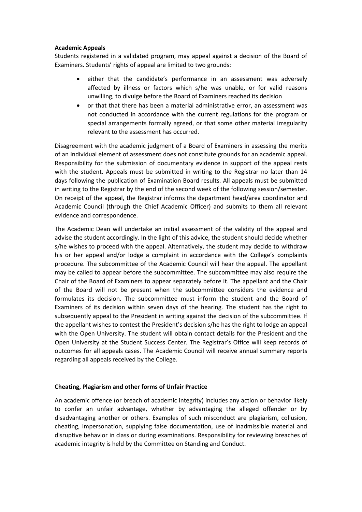## **Academic Appeals**

Students registered in a validated program, may appeal against a decision of the Board of Examiners. Students' rights of appeal are limited to two grounds:

- either that the candidate's performance in an assessment was adversely affected by illness or factors which s/he was unable, or for valid reasons unwilling, to divulge before the Board of Examiners reached its decision
- or that that there has been a material administrative error, an assessment was not conducted in accordance with the current regulations for the program or special arrangements formally agreed, or that some other material irregularity relevant to the assessment has occurred.

Disagreement with the academic judgment of a Board of Examiners in assessing the merits of an individual element of assessment does not constitute grounds for an academic appeal. Responsibility for the submission of documentary evidence in support of the appeal rests with the student. Appeals must be submitted in writing to the Registrar no later than 14 days following the publication of Examination Board results. All appeals must be submitted in writing to the Registrar by the end of the second week of the following session/semester. On receipt of the appeal, the Registrar informs the department head/area coordinator and Academic Council (through the Chief Academic Officer) and submits to them all relevant evidence and correspondence.

The Academic Dean will undertake an initial assessment of the validity of the appeal and advise the student accordingly. In the light of this advice, the student should decide whether s/he wishes to proceed with the appeal. Alternatively, the student may decide to withdraw his or her appeal and/or lodge a complaint in accordance with the College's complaints procedure. The subcommittee of the Academic Council will hear the appeal. The appellant may be called to appear before the subcommittee. The subcommittee may also require the Chair of the Board of Examiners to appear separately before it. The appellant and the Chair of the Board will not be present when the subcommittee considers the evidence and formulates its decision. The subcommittee must inform the student and the Board of Examiners of its decision within seven days of the hearing. The student has the right to subsequently appeal to the President in writing against the decision of the subcommittee. If the appellant wishes to contest the President's decision s/he has the right to lodge an appeal with the Open University. The student will obtain contact details for the President and the Open University at the Student Success Center. The Registrar's Office will keep records of outcomes for all appeals cases. The Academic Council will receive annual summary reports regarding all appeals received by the College.

## **Cheating, Plagiarism and other forms of Unfair Practice**

An academic offence (or breach of academic integrity) includes any action or behavior likely to confer an unfair advantage, whether by advantaging the alleged offender or by disadvantaging another or others. Examples of such misconduct are plagiarism, collusion, cheating, impersonation, supplying false documentation, use of inadmissible material and disruptive behavior in class or during examinations. Responsibility for reviewing breaches of academic integrity is held by the Committee on Standing and Conduct.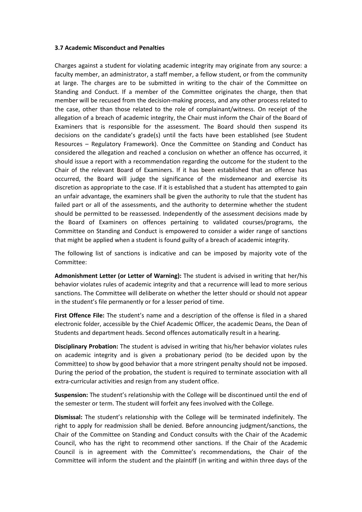#### <span id="page-30-0"></span>**3.7 Academic Misconduct and Penalties**

Charges against a student for violating academic integrity may originate from any source: a faculty member, an administrator, a staff member, a fellow student, or from the community at large. The charges are to be submitted in writing to the chair of the Committee on Standing and Conduct. If a member of the Committee originates the charge, then that member will be recused from the decision-making process, and any other process related to the case, other than those related to the role of complainant/witness. On receipt of the allegation of a breach of academic integrity, the Chair must inform the Chair of the Board of Examiners that is responsible for the assessment. The Board should then suspend its decisions on the candidate's grade(s) until the facts have been established (see Student Resources – Regulatory Framework). Once the Committee on Standing and Conduct has considered the allegation and reached a conclusion on whether an offence has occurred, it should issue a report with a recommendation regarding the outcome for the student to the Chair of the relevant Board of Examiners. If it has been established that an offence has occurred, the Board will judge the significance of the misdemeanor and exercise its discretion as appropriate to the case. If it is established that a student has attempted to gain an unfair advantage, the examiners shall be given the authority to rule that the student has failed part or all of the assessments, and the authority to determine whether the student should be permitted to be reassessed. Independently of the assessment decisions made by the Board of Examiners on offences pertaining to validated courses/programs, the Committee on Standing and Conduct is empowered to consider a wider range of sanctions that might be applied when a student is found guilty of a breach of academic integrity.

The following list of sanctions is indicative and can be imposed by majority vote of the Committee:

**Admonishment Letter (or Letter of Warning):** The student is advised in writing that her/his behavior violates rules of academic integrity and that a recurrence will lead to more serious sanctions. The Committee will deliberate on whether the letter should or should not appear in the student's file permanently or for a lesser period of time.

**First Offence File:** The student's name and a description of the offense is filed in a shared electronic folder, accessible by the Chief Academic Officer, the academic Deans, the Dean of Students and department heads. Second offences automatically result in a hearing.

**Disciplinary Probation:** The student is advised in writing that his/her behavior violates rules on academic integrity and is given a probationary period (to be decided upon by the Committee) to show by good behavior that a more stringent penalty should not be imposed. During the period of the probation, the student is required to terminate association with all extra-curricular activities and resign from any student office.

**Suspension:** The student's relationship with the College will be discontinued until the end of the semester or term. The student will forfeit any fees involved with the College.

**Dismissal:** The student's relationship with the College will be terminated indefinitely. The right to apply for readmission shall be denied. Before announcing judgment/sanctions, the Chair of the Committee on Standing and Conduct consults with the Chair of the Academic Council, who has the right to recommend other sanctions. If the Chair of the Academic Council is in agreement with the Committee's recommendations, the Chair of the Committee will inform the student and the plaintiff (in writing and within three days of the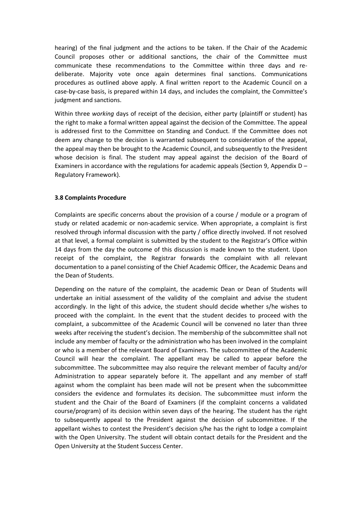hearing) of the final judgment and the actions to be taken. If the Chair of the Academic Council proposes other or additional sanctions, the chair of the Committee must communicate these recommendations to the Committee within three days and redeliberate. Majority vote once again determines final sanctions. Communications procedures as outlined above apply. A final written report to the Academic Council on a case-by-case basis, is prepared within 14 days, and includes the complaint, the Committee's judgment and sanctions.

Within three *working* days of receipt of the decision, either party (plaintiff or student) has the right to make a formal written appeal against the decision of the Committee. The appeal is addressed first to the Committee on Standing and Conduct. If the Committee does not deem any change to the decision is warranted subsequent to consideration of the appeal, the appeal may then be brought to the Academic Council, and subsequently to the President whose decision is final. The student may appeal against the decision of the Board of Examiners in accordance with the regulations for academic appeals (Section 9, Appendix D – Regulatory Framework).

## <span id="page-31-0"></span>**3.8 Complaints Procedure**

Complaints are specific concerns about the provision of a course / module or a program of study or related academic or non-academic service. When appropriate, a complaint is first resolved through informal discussion with the party / office directly involved. If not resolved at that level, a formal complaint is submitted by the student to the Registrar's Office within 14 days from the day the outcome of this discussion is made known to the student. Upon receipt of the complaint, the Registrar forwards the complaint with all relevant documentation to a panel consisting of the Chief Academic Officer, the Academic Deans and the Dean of Students.

Depending on the nature of the complaint, the academic Dean or Dean of Students will undertake an initial assessment of the validity of the complaint and advise the student accordingly. In the light of this advice, the student should decide whether s/he wishes to proceed with the complaint. In the event that the student decides to proceed with the complaint, a subcommittee of the Academic Council will be convened no later than three weeks after receiving the student's decision. The membership of the subcommittee shall not include any member of faculty or the administration who has been involved in the complaint or who is a member of the relevant Board of Examiners. The subcommittee of the Academic Council will hear the complaint. The appellant may be called to appear before the subcommittee. The subcommittee may also require the relevant member of faculty and/or Administration to appear separately before it. The appellant and any member of staff against whom the complaint has been made will not be present when the subcommittee considers the evidence and formulates its decision. The subcommittee must inform the student and the Chair of the Board of Examiners (if the complaint concerns a validated course/program) of its decision within seven days of the hearing. The student has the right to subsequently appeal to the President against the decision of subcommittee. If the appellant wishes to contest the President's decision s/he has the right to lodge a complaint with the Open University. The student will obtain contact details for the President and the Open University at the Student Success Center.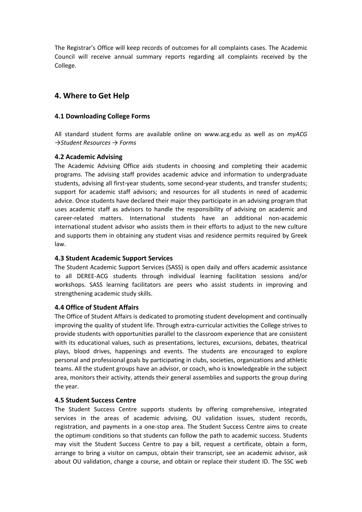The Registrar's Office will keep records of outcomes for all complaints cases. The Academic Council will receive annual summary reports regarding all complaints received by the College.

# <span id="page-32-0"></span>**4. Where to Get Help**

# <span id="page-32-1"></span>**4.1 Downloading College Forms**

All standard student forms are available online on www.acg.edu as well as on *myACG →Student Resources → Forms*

# <span id="page-32-2"></span>**4.2 Academic Advising**

The Academic Advising Office aids students in choosing and completing their academic programs. The advising staff provides academic advice and information to undergraduate students, advising all first-year students, some second-year students, and transfer students; support for academic staff advisors; and resources for all students in need of academic advice. Once students have declared their major they participate in an advising program that uses academic staff as advisors to handle the responsibility of advising on academic and career-related matters. International students have an additional non-academic international student advisor who assists them in their efforts to adjust to the new culture and supports them in obtaining any student visas and residence permits required by Greek law.

# <span id="page-32-3"></span>**4.3 Student Academic Support Services**

The Student Academic Support Services (SASS) is open daily and offers academic assistance to all DEREE-ACG students through individual learning facilitation sessions and/or workshops. SASS learning facilitators are peers who assist students in improving and strengthening academic study skills.

# <span id="page-32-4"></span>**4.4 Office of Student Affairs**

The Office of Student Affairs is dedicated to promoting student development and continually improving the quality of student life. Through extra-curricular activities the College strives to provide students with opportunities parallel to the classroom experience that are consistent with its educational values, such as presentations, lectures, excursions, debates, theatrical plays, blood drives, happenings and events. The students are encouraged to explore personal and professional goals by participating in clubs, societies, organizations and athletic teams. All the student groups have an advisor, or coach, who is knowledgeable in the subject area, monitors their activity, attends their general assemblies and supports the group during the year.

# <span id="page-32-5"></span>**4.5 Student Success Centre**

The Student Success Centre supports students by offering comprehensive, integrated services in the areas of academic advising, OU validation issues, student records, registration, and payments in a one-stop area. The Student Success Centre aims to create the optimum conditions so that students can follow the path to academic success. Students may visit the Student Success Centre to pay a bill, request a certificate, obtain a form, arrange to bring a visitor on campus, obtain their transcript, see an academic advisor, ask about OU validation, change a course, and obtain or replace their student ID. The SSC web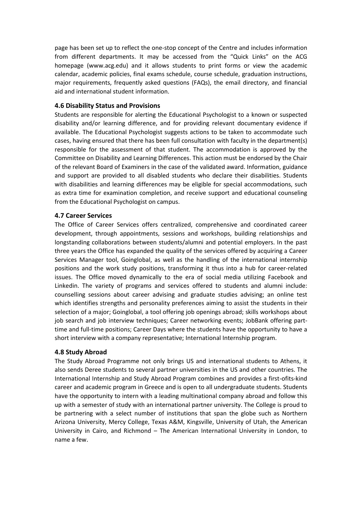page has been set up to reflect the one-stop concept of the Centre and includes information from different departments. It may be accessed from the "Quick Links" on the ACG homepage (www.acg.edu) and it allows students to print forms or view the academic calendar, academic policies, final exams schedule, course schedule, graduation instructions, major requirements, frequently asked questions (FAQs), the email directory, and financial aid and international student information.

# <span id="page-33-0"></span>**4.6 Disability Status and Provisions**

Students are responsible for alerting the Educational Psychologist to a known or suspected disability and/or learning difference, and for providing relevant documentary evidence if available. The Educational Psychologist suggests actions to be taken to accommodate such cases, having ensured that there has been full consultation with faculty in the department(s) responsible for the assessment of that student. The accommodation is approved by the Committee on Disability and Learning Differences. This action must be endorsed by the Chair of the relevant Board of Examiners in the case of the validated award. Information, guidance and support are provided to all disabled students who declare their disabilities. Students with disabilities and learning differences may be eligible for special accommodations, such as extra time for examination completion, and receive support and educational counseling from the Educational Psychologist on campus.

# <span id="page-33-1"></span>**4.7 Career Services**

The Office of Career Services offers centralized, comprehensive and coordinated career development, through appointments, sessions and workshops, building relationships and longstanding collaborations between students/alumni and potential employers. In the past three years the Office has expanded the quality of the services offered by acquiring a Career Services Manager tool, Goinglobal, as well as the handling of the international internship positions and the work study positions, transforming it thus into a hub for career-related issues. The Office moved dynamically to the era of social media utilizing Facebook and Linkedin. The variety of programs and services offered to students and alumni include: counselling sessions about career advising and graduate studies advising; an online test which identifies strengths and personality preferences aiming to assist the students in their selection of a major; Goinglobal, a tool offering job openings abroad; skills workshops about job search and job interview techniques; Career networking events; JobBank offering parttime and full-time positions; Career Days where the students have the opportunity to have a short interview with a company representative; International Internship program.

# <span id="page-33-2"></span>**4.8 Study Abroad**

The Study Abroad Programme not only brings US and international students to Athens, it also sends Deree students to several partner universities in the US and other countries. The International Internship and Study Abroad Program combines and provides a first-ofits-kind career and academic program in Greece and is open to all undergraduate students. Students have the opportunity to intern with a leading multinational company abroad and follow this up with a semester of study with an international partner university. The College is proud to be partnering with a select number of institutions that span the globe such as Northern Arizona University, Mercy College, Texas A&M, Kingsville, University of Utah, the American University in Cairo, and Richmond – The American International University in London, to name a few.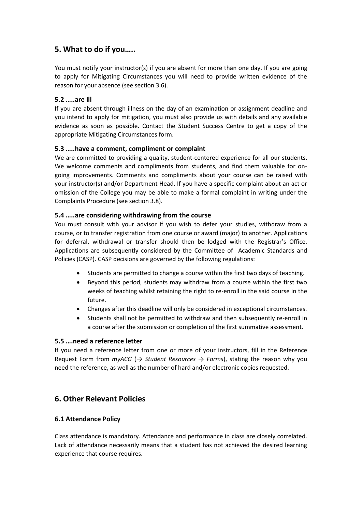# <span id="page-34-0"></span>**5. What to do if you…..**

You must notify your instructor(s) if you are absent for more than one day. If you are going to apply for Mitigating Circumstances you will need to provide written evidence of the reason for your absence (see section 3.6).

# <span id="page-34-1"></span>**5.2 …..are ill**

If you are absent through illness on the day of an examination or assignment deadline and you intend to apply for mitigation, you must also provide us with details and any available evidence as soon as possible. Contact the Student Success Centre to get a copy of the appropriate Mitigating Circumstances form.

# <span id="page-34-2"></span>**5.3 …..have a comment, compliment or complaint**

We are committed to providing a quality, student-centered experience for all our students. We welcome comments and compliments from students, and find them valuable for ongoing improvements. Comments and compliments about your course can be raised with your instructor(s) and/or Department Head. If you have a specific complaint about an act or omission of the College you may be able to make a formal complaint in writing under the Complaints Procedure (see section 3.8).

# <span id="page-34-3"></span>**5.4 …..are considering withdrawing from the course**

You must consult with your advisor if you wish to defer your studies, withdraw from a course, or to transfer registration from one course or award (major) to another. Applications for deferral, withdrawal or transfer should then be lodged with the Registrar's Office. Applications are subsequently considered by the Committee of Academic Standards and Policies (CASP). CASP decisions are governed by the following regulations:

- Students are permitted to change a course within the first two days of teaching.
- Beyond this period, students may withdraw from a course within the first two weeks of teaching whilst retaining the right to re-enroll in the said course in the future.
- Changes after this deadline will only be considered in exceptional circumstances.
- Students shall not be permitted to withdraw and then subsequently re-enroll in a course after the submission or completion of the first summative assessment.

# <span id="page-34-4"></span>**5.5 ….need a reference letter**

If you need a reference letter from one or more of your instructors, fill in the Reference Request Form from *myACG* (*→ Student Resources → Forms*), stating the reason why you need the reference, as well as the number of hard and/or electronic copies requested.

# <span id="page-34-5"></span>**6. Other Relevant Policies**

# <span id="page-34-6"></span>**6.1 Attendance Policy**

Class attendance is mandatory. Attendance and performance in class are closely correlated. Lack of attendance necessarily means that a student has not achieved the desired learning experience that course requires.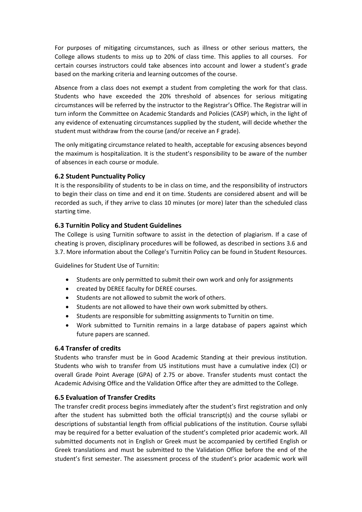For purposes of mitigating circumstances, such as illness or other serious matters, the College allows students to miss up to 20% of class time. This applies to all courses. For certain courses instructors could take absences into account and lower a student's grade based on the marking criteria and learning outcomes of the course.

Absence from a class does not exempt a student from completing the work for that class. Students who have exceeded the 20% threshold of absences for serious mitigating circumstances will be referred by the instructor to the Registrar's Office. The Registrar will in turn inform the Committee on Academic Standards and Policies (CASP) which, in the light of any evidence of extenuating circumstances supplied by the student, will decide whether the student must withdraw from the course (and/or receive an F grade).

The only mitigating circumstance related to health, acceptable for excusing absences beyond the maximum is hospitalization. It is the student's responsibility to be aware of the number of absences in each course or module.

# <span id="page-35-0"></span>**6.2 Student Punctuality Policy**

It is the responsibility of students to be in class on time, and the responsibility of instructors to begin their class on time and end it on time. Students are considered absent and will be recorded as such, if they arrive to class 10 minutes (or more) later than the scheduled class starting time.

# <span id="page-35-1"></span>**6.3 Turnitin Policy and Student Guidelines**

The College is using Turnitin software to assist in the detection of plagiarism. If a case of cheating is proven, disciplinary procedures will be followed, as described in sections 3.6 and 3.7. More information about the College's Turnitin Policy can be found in Student Resources.

Guidelines for Student Use of Turnitin:

- Students are only permitted to submit their own work and only for assignments
- created by DEREE faculty for DEREE courses.
- Students are not allowed to submit the work of others.
- Students are not allowed to have their own work submitted by others.
- Students are responsible for submitting assignments to Turnitin on time.
- Work submitted to Turnitin remains in a large database of papers against which future papers are scanned.

## <span id="page-35-2"></span>**6.4 Transfer of credits**

Students who transfer must be in Good Academic Standing at their previous institution. Students who wish to transfer from US institutions must have a cumulative index (CI) or overall Grade Point Average (GPA) of 2.75 or above. Transfer students must contact the Academic Advising Office and the Validation Office after they are admitted to the College.

## <span id="page-35-3"></span>**6.5 Evaluation of Transfer Credits**

The transfer credit process begins immediately after the student's first registration and only after the student has submitted both the official transcript(s) and the course syllabi or descriptions of substantial length from official publications of the institution. Course syllabi may be required for a better evaluation of the student's completed prior academic work. All submitted documents not in English or Greek must be accompanied by certified English or Greek translations and must be submitted to the Validation Office before the end of the student's first semester. The assessment process of the student's prior academic work will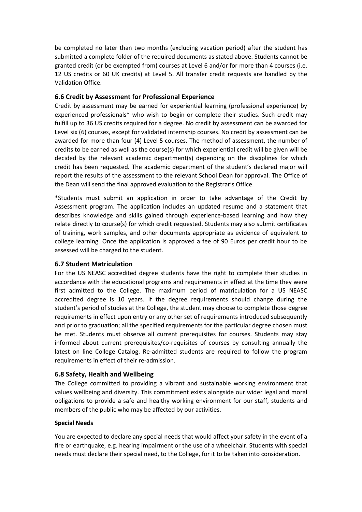be completed no later than two months (excluding vacation period) after the student has submitted a complete folder of the required documents as stated above. Students cannot be granted credit (or be exempted from) courses at Level 6 and/or for more than 4 courses (i.e. 12 US credits or 60 UK credits) at Level 5. All transfer credit requests are handled by the Validation Office.

# <span id="page-36-0"></span>**6.6 Credit by Assessment for Professional Experience**

Credit by assessment may be earned for experiential learning (professional experience) by experienced professionals\* who wish to begin or complete their studies. Such credit may fulfill up to 36 US credits required for a degree. No credit by assessment can be awarded for Level six (6) courses, except for validated internship courses. No credit by assessment can be awarded for more than four (4) Level 5 courses. The method of assessment, the number of credits to be earned as well as the course(s) for which experiential credit will be given will be decided by the relevant academic department(s) depending on the disciplines for which credit has been requested. The academic department of the student's declared major will report the results of the assessment to the relevant School Dean for approval. The Office of the Dean will send the final approved evaluation to the Registrar's Office.

\*Students must submit an application in order to take advantage of the Credit by Assessment program. The application includes an updated resume and a statement that describes knowledge and skills gained through experience-based learning and how they relate directly to course(s) for which credit requested. Students may also submit certificates of training, work samples, and other documents appropriate as evidence of equivalent to college learning. Once the application is approved a fee of 90 Euros per credit hour to be assessed will be charged to the student.

# <span id="page-36-1"></span>**6.7 Student Matriculation**

For the US NEASC accredited degree students have the right to complete their studies in accordance with the educational programs and requirements in effect at the time they were first admitted to the College. The maximum period of matriculation for a US NEASC accredited degree is 10 years. If the degree requirements should change during the student's period of studies at the College, the student may choose to complete those degree requirements in effect upon entry or any other set of requirements introduced subsequently and prior to graduation; all the specified requirements for the particular degree chosen must be met. Students must observe all current prerequisites for courses. Students may stay informed about current prerequisites/co-requisites of courses by consulting annually the latest on line College Catalog. Re-admitted students are required to follow the program requirements in effect of their re-admission.

# <span id="page-36-2"></span>**6.8 Safety, Health and Wellbeing**

The College committed to providing a vibrant and sustainable working environment that values wellbeing and diversity. This commitment exists alongside our wider legal and moral obligations to provide a safe and healthy working environment for our staff, students and members of the public who may be affected by our activities.

# **Special Needs**

You are expected to declare any special needs that would affect your safety in the event of a fire or earthquake, e.g. hearing impairment or the use of a wheelchair. Students with special needs must declare their special need, to the College, for it to be taken into consideration.